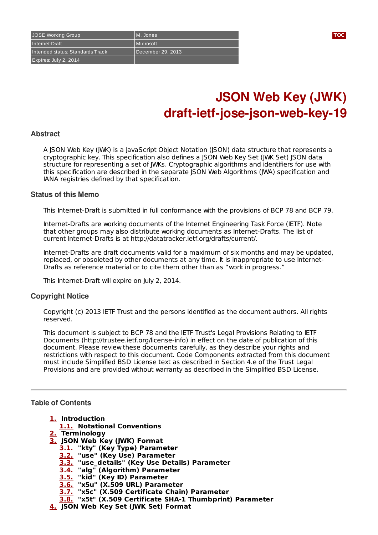Expires: July 2, 2014

# **JSON Web Key (JWK) draft-ietf-jose-json-web-key-19**

#### **Abstract**

A JSON Web Key (JWK) is a JavaScript Object Notation (JSON) data structure that represents a cryptographic key. This specification also defines a JSON Web Key Set (JWK Set) JSON data structure for representing a set of JWKs. Cryptographic algorithms and identifiers for use with this specification are described in the separate JSON Web Algorithms (JWA) specification and IANA registries defined by that specification.

#### **Status of this Memo**

This Internet-Draft is submitted in full conformance with the provisions of BCP 78 and BCP 79.

Internet-Drafts are working documents of the Internet Engineering Task Force (IETF). Note that other groups may also distribute working documents as Internet-Drafts. The list of current Internet-Drafts is at http://datatracker.ietf.org/drafts/current/.

Internet-Drafts are draft documents valid for a maximum of six months and may be updated, replaced, or obsoleted by other documents at any time. It is inappropriate to use Internet-Drafts as reference material or to cite them other than as "work in progress."

This Internet-Draft will expire on July 2, 2014.

#### **Copyright Notice**

Copyright (c) 2013 IETF Trust and the persons identified as the document authors. All rights reserved.

This document is subject to BCP 78 and the IETF Trust's Legal Provisions Relating to IETF Documents (http://trustee.ietf.org/license-info) in effect on the date of publication of this document. Please review these documents carefully, as they describe your rights and restrictions with respect to this document. Code Components extracted from this document must include Simplified BSD License text as described in Section 4.e of the Trust Legal Provisions and are provided without warranty as described in the Simplified BSD License.

## <span id="page-0-0"></span>**Table of Contents**

- **[1.](#page-1-0) Introduction**
	- **[1.1.](#page-1-1) Notational Conventions**
- **[2.](#page-2-0) Terminology**
- **[3.](#page-2-1) JSON Web Key (JWK) Format**
	- **[3.1.](#page-2-2) "kty" (Key Type) Parameter**
	- **[3.2.](#page-2-3) "use" (Key Use) Parameter**
	- **[3.3.](#page-3-0) "use\_details" (Key Use Details) Parameter**
	- **[3.4.](#page-3-1) "alg" (Algorithm) Parameter**
	- **[3.5.](#page-4-0) "kid" (Key ID) Parameter**
	- **[3.6.](#page-4-1) "x5u" (X.509 URL) Parameter**
	- **[3.7.](#page-4-2) "x5c" (X.509 Certificate Chain) Parameter**
	- **[3.8.](#page-4-3) "x5t" (X.509 Certificate SHA-1 Thumbprint) Parameter**
- **[4.](#page-5-0) JSON Web Key Set (JWK Set) Format**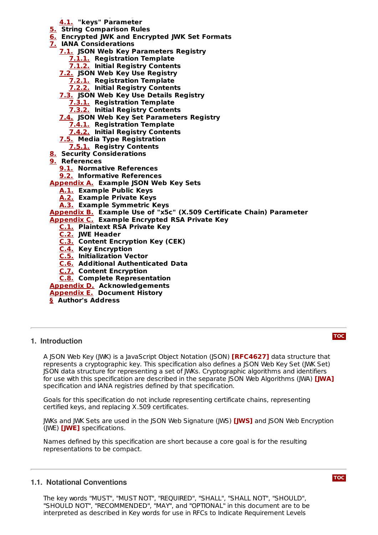- **4. JSON Web Key Set (JWK Set) Format [4.1.](#page-5-1) "keys" Parameter**
- **[5.](#page-5-2) String Comparison Rules**
- **[6.](#page-5-3) Encrypted JWK and Encrypted JWK Set Formats**
- **[7.](#page-6-0) IANA Considerations**
	- **[7.1.](#page-6-1) JSON Web Key Parameters Registry**
		- **[7.1.1.](#page-6-2) Registration Template**
		- **[7.1.2.](#page-7-0) Initial Registry Contents**

**[7.2.](#page-8-0) JSON Web Key Use Registry**

- **[7.2.1.](#page-8-1) Registration Template**
- **[7.2.2.](#page-8-2) Initial Registry Contents**
- **[7.3.](#page-8-3) JSON Web Key Use Details Registry**
	- **[7.3.1.](#page-9-0) Registration Template**
	- **[7.3.2.](#page-9-1) Initial Registry Contents**

**[7.4.](#page-10-0) JSON Web Key Set Parameters Registry**

- **[7.4.1.](#page-10-1) Registration Template**
- **[7.4.2.](#page-10-2) Initial Registry Contents**
- **[7.5.](#page-10-3) Media Type Registration**
- **[7.5.1.](#page-10-4) Registry Contents**
- **[8.](#page-11-0) Security Considerations**
- **[9.](#page-12-0) References**
	- **[9.1.](#page-12-0) Normative References**
	- **[9.2.](#page-12-1) Informative References**

**[Appendix](#page-12-2) A. Example JSON Web Key Sets**

- **[A.1.](#page-12-3) Example Public Keys**
- **[A.2.](#page-13-0) Example Private Keys**
- **[A.3.](#page-14-0) Example Symmetric Keys**

**[Appendix](#page-14-1) B. Example Use of "x5c" (X.509 Certificate Chain) Parameter**

- **[Appendix](#page-15-0) C. Example Encrypted RSA Private Key**
	- **[C.1.](#page-15-1) Plaintext RSA Private Key**
	- **[C.2.](#page-17-0) JWE Header**
	- **[C.3.](#page-17-1) Content Encryption Key (CEK)**
	- **[C.4.](#page-17-2) Key Encryption**
	- **[C.5.](#page-18-0) Initialization Vector**
	- **[C.6.](#page-18-1) Additional Authenticated Data**
	- **[C.7.](#page-18-2) Content Encryption**

**[C.8.](#page-20-0) Complete Representation**

**[Appendix](#page-21-0) D. Acknowledgements**

**[Appendix](#page-21-1) E. Document History**

<span id="page-1-0"></span>**[§](#page-23-0) Author's Address**

#### **1. Introduction**

A JSON Web Key (JWK) is a JavaScript Object Notation (JSON) **[\[RFC4627\]](#page-12-4)** data structure that represents a cryptographic key. This specification also defines a JSON Web Key Set (JWK Set) JSON data structure for representing a set of JWKs. Cryptographic algorithms and identifiers for use with this specification are described in the separate JSON Web Algorithms (JWA) **[\[JWA\]](#page-12-5)** specification and IANA registries defined by that specification.

Goals for this specification do not include representing certificate chains, representing certified keys, and replacing X.509 certificates.

JWKs and JWK Sets are used in the JSON Web Signature (JWS) **[\[JWS\]](#page-12-6)** and JSON Web Encryption (JWE) **[\[JWE\]](#page-12-7)** specifications.

Names defined by this specification are short because a core goal is for the resulting representations to be compact.

# <span id="page-1-1"></span>**1.1. Notational Conventions**

The key words "MUST", "MUST NOT", "REQUIRED", "SHALL", "SHALL NOT", "SHOULD", "SHOULD NOT", "RECOMMENDED", "MAY", and "OPTIONAL" in this document are to be interpreted as described in Key words for use in RFCs to Indicate Requirement Levels

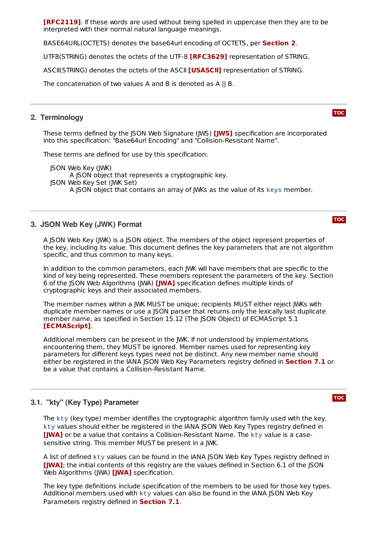interpreted as described in Key words for use in RFCs to Indicate Requirement Levels **[\[RFC2119\]](#page-12-8)**. If these words are used without being spelled in uppercase then they are to be interpreted with their normal natural language meanings.

BASE64URL(OCTETS) denotes the base64url encoding of OCTETS, per **[Section](#page-2-0) 2**.

UTF8(STRING) denotes the octets of the UTF-8 **[\[RFC3629\]](#page-12-9)** representation of STRING.

ASCII(STRING) denotes the octets of the ASCII **[\[USASCII\]](#page-12-10)** representation of STRING.

<span id="page-2-0"></span>The concatenation of two values A and B is denoted as A || B.

#### **2. Terminology**

**[TOC](#page-0-0)**

These terms defined by the JSON Web Signature (JWS) **[\[JWS\]](#page-12-6)** specification are incorporated into this specification: "Base64url Encoding" and "Collision-Resistant Name".

These terms are defined for use by this specification:

JSON Web Key (JWK) A JSON object that represents a cryptographic key. JSON Web Key Set (JWK Set) A JSON object that contains an array of JWKs as the value of its keys member.

# <span id="page-2-1"></span>**3. JSON Web Key (JWK) Format**

A JSON Web Key (JWK) is a JSON object. The members of the object represent properties of the key, including its value. This document defines the key parameters that are not algorithm specific, and thus common to many keys.

In addition to the common parameters, each JWK will have members that are specific to the kind of key being represented. These members represent the parameters of the key. Section 6 of the JSON Web Algorithms (JWA) specification defines multiple kinds of **[\[JWA\]](#page-12-5)** cryptographic keys and their associated members.

The member names within a JWK MUST be unique; recipients MUST either reject JWKs with duplicate member names or use a JSON parser that returns only the lexically last duplicate member name, as specified in Section 15.12 (The JSON Object) of ECMAScript 5.1 . **[\[ECMAScript\]](#page-12-11)**

Additional members can be present in the JWK. If not understood by implementations encountering them, they MUST be ignored. Member names used for representing key parameters for different keys types need not be distinct. Any new member name should either be registered in the IANA JSON Web Key Parameters registry defined in **[Section](#page-6-1) 7.1** or be a value that contains a Collision-Resistant Name.

# <span id="page-2-2"></span>**3.1. "kty" (Key Type) Parameter**

The kty (key type) member identifies the cryptographic algorithm family used with the key. kty values should either be registered in the IANA JSON Web Key Types registry defined in [\[JWA\]](#page-12-5) or be a value that contains a Collision-Resistant Name. The kty value is a casesensitive string. This member MUST be present in a JWK.

A list of defined kty values can be found in the IANA JSON Web Key Types registry defined in **[\[JWA\]](#page-12-5)**; the initial contents of this registry are the values defined in Section 6.1 of the JSON Web Algorithms (JWA) **[\[JWA\]](#page-12-5)** specification.

<span id="page-2-3"></span>The key type definitions include specification of the members to be used for those key types. Additional members used with kty values can also be found in the IANA JSON Web Key Parameters registry defined in **[Section](#page-6-1) 7.1**.

#### **[TOC](#page-0-0)**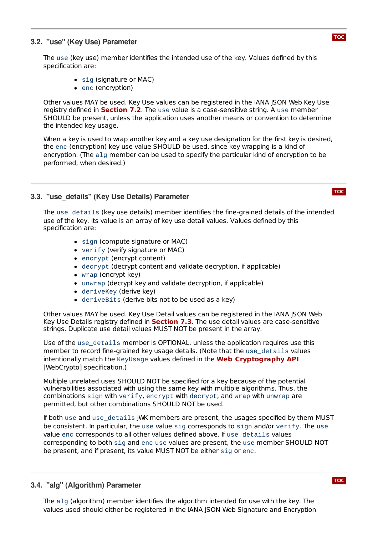# **3.2. "use" (Key Use) Parameter**

The use (key use) member identifies the intended use of the key. Values defined by this specification are:

- sig (signature or MAC)
- enc (encryption)

Other values MAY be used. Key Use values can be registered in the IANA JSON Web Key Use **registry defined in [Section](#page-8-0) 7.2.** The use value is a case-sensitive string. A use member SHOULD be present, unless the application uses another means or convention to determine the intended key usage.

When a key is used to wrap another key and a key use designation for the first key is desired, the enc (encryption) key use value SHOULD be used, since key wrapping is a kind of encryption. (The alg member can be used to specify the particular kind of encryption to be performed, when desired.)

# <span id="page-3-0"></span>**3.3. "use\_details" (Key Use Details) Parameter**

The use\_details (key use details) member identifies the fine-grained details of the intended use of the key. Its value is an array of key use detail values. Values defined by this specification are:

- sign (compute signature or MAC)
- verify (verify signature or MAC)
- encrypt (encrypt content)
- decrypt (decrypt content and validate decryption, if applicable)
- wrap (encrypt key)
- unwrap (decrypt key and validate decryption, if applicable)
- deriveKey (derive key)
- deriveBits (derive bits not to be used as a key)

Other values MAY be used. Key Use Detail values can be registered in the IANA JSON Web Key Use Details registry defined in **[Section](#page-8-3) 7.3**. The use detail values are case-sensitive strings. Duplicate use detail values MUST NOT be present in the array.

Use of the use\_details member is OPTIONAL, unless the application requires use this member to record fine-grained key usage details. (Note that the use\_details values intentionally match the KeyUsage values defined in the **Web [Cryptography](#page-12-12) API**[WebCrypto] specification.)

Multiple unrelated uses SHOULD NOT be specified for a key because of the potential vulnerabilities associated with using the same key with multiple algorithms. Thus, the combinations sign with verify, encrypt with decrypt, and wrap with unwrap are permitted, but other combinations SHOULD NOT be used.

If both use and use\_details JWK members are present, the usages specified by them MUST be consistent. In particular, the use value sig corresponds to sign and/or verify. The use value enc corresponds to all other values defined above. If use\_details values corresponding to both sig and enc use values are present, the use member SHOULD NOT be present, and if present, its value MUST NOT be either sig or enc.

# <span id="page-3-1"></span>**3.4. "alg" (Algorithm) Parameter**

The alg (algorithm) member identifies the algorithm intended for use with the key. The values used should either be registered in the IANA JSON Web Signature and Encryption

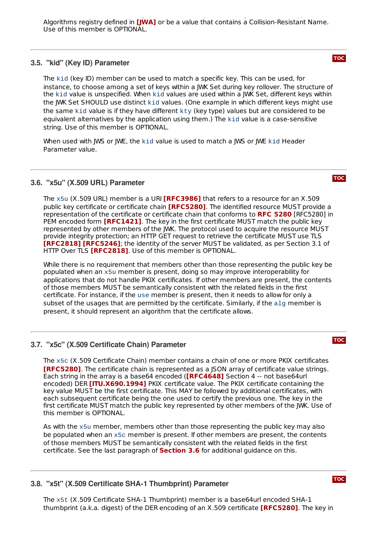values used should either be registered in the IANA JSON Web Signature and Encryption Algorithms registry defined in **[\[JWA\]](#page-12-5)** or be a value that contains a Collision-Resistant Name. Use of this member is OPTIONAL.

## <span id="page-4-0"></span>**3.5. "kid" (Key ID) Parameter**

The kid (key ID) member can be used to match a specific key. This can be used, for instance, to choose among a set of keys within a JWK Set during key rollover. The structure of the kid value is unspecified. When kid values are used within a JWK Set, different keys within the JWK Set SHOULD use distinct kid values. (One example in which different keys might use the same kid value is if they have different kty (key type) values but are considered to be equivalent alternatives by the application using them.) The kid value is a case-sensitive string. Use of this member is OPTIONAL.

When used with JWS or JWE, the kid value is used to match a JWS or JWE kid Header Parameter value.

# <span id="page-4-1"></span>**3.6. "x5u" (X.509 URL) Parameter**

The x5u (X.509 URL) member is a URI **[\[RFC3986\]](#page-12-13)** that refers to a resource for an X.509 public key certificate or certificate chain **[\[RFC5280\]](#page-12-14)**. The identified resource MUST provide a **representation of the certificate or certificate chain that conforms to <b>RFC [5280](#page-12-14)** [RFC5280] in PEM encoded form **[\[RFC1421\]](#page-12-15)**. The key in the first certificate MUST match the public key represented by other members of the JWK. The protocol used to acquire the resource MUST provide integrity protection; an HTTP GET request to retrieve the certificate MUST use TLS **[\[RFC2818\]](#page-12-16) [\[RFC5246\]](#page-12-17)**; the identity of the server MUST be validated, as per Section 3.1 of HTTP Over TLS **[\[RFC2818\]](#page-12-16)**. Use of this member is OPTIONAL.

While there is no requirement that members other than those representing the public key be populated when an x5u member is present, doing so may improve interoperability for applications that do not handle PKIX certificates. If other members are present, the contents of those members MUST be semantically consistent with the related fields in the first certificate. For instance, if the use member is present, then it needs to allow for only a subset of the usages that are permitted by the certificate. Similarly, if the alg member is present, it should represent an algorithm that the certificate allows.

# <span id="page-4-2"></span>**3.7. "x5c" (X.509 Certificate Chain) Parameter**

The x5c (X.509 Certificate Chain) member contains a chain of one or more PKIX certificates **[\[RFC5280\]](#page-12-14)**. The certificate chain is represented as a JSON array of certificate value strings. Each string in the array is a base64 encoded (**[\[RFC4648\]](#page-12-18)** Section 4 -- not base64url encoded) DER **[\[ITU.X690.1994\]](#page-12-19)** PKIX certificate value. The PKIX certificate containing the key value MUST be the first certificate. This MAY be followed by additional certificates, with each subsequent certificate being the one used to certify the previous one. The key in the first certificate MUST match the public key represented by other members of the JWK. Use of this member is OPTIONAL.

As with the x5u member, members other than those representing the public key may also be populated when an x5c member is present. If other members are present, the contents of those members MUST be semantically consistent with the related fields in the first certificate. See the last paragraph of **[Section](#page-4-1) 3.6** for additional guidance on this.

# <span id="page-4-3"></span>**3.8. "x5t" (X.509 Certificate SHA-1 Thumbprint) Parameter**

The x5t (X.509 Certificate SHA-1 Thumbprint) member is a base64url encoded SHA-1 thumbprint (a.k.a. digest) of the DER encoding of an X.509 certificate **[\[RFC5280\]](#page-12-14)**. The key in





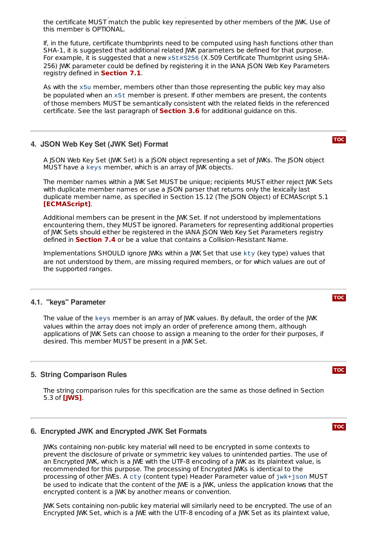thumbprint (a.k.a. digest) of the DER encoding of an X.509 certificate . The key in the certificate MUST match the public key represented by other members of the JWK. Use of this member is OPTIONAL. **[RFC5280]**

If, in the future, certificate thumbprints need to be computed using hash functions other than SHA-1, it is suggested that additional related JWK parameters be defined for that purpose. For example, it is suggested that a new x5t#S256 (X.509 Certificate Thumbprint using SHA-256) JWK parameter could be defined by registering it in the IANA JSON Web Key Parameters **registry defined in [Section](#page-6-1) 7.1**.

As with the x5u member, members other than those representing the public key may also be populated when an x5t member is present. If other members are present, the contents of those members MUST be semantically consistent with the related fields in the referenced certificate. See the last paragraph of **[Section](#page-4-1) 3.6** for additional guidance on this.

#### <span id="page-5-0"></span>**4. JSON Web Key Set (JWK Set) Format**

A JSON Web Key Set (JWK Set) is a JSON object representing a set of JWKs. The JSON object MUST have a keys member, which is an array of JWK objects.

The member names within a JWK Set MUST be unique; recipients MUST either reject JWK Sets with duplicate member names or use a JSON parser that returns only the lexically last duplicate member name, as specified in Section 15.12 (The JSON Object) of ECMAScript 5.1 . **[\[ECMAScript\]](#page-12-11)**

Additional members can be present in the JWK Set. If not understood by implementations encountering them, they MUST be ignored. Parameters for representing additional properties of JWK Sets should either be registered in the IANA JSON Web Key Set Parameters registry defined in **[Section](#page-10-0) 7.4** or be a value that contains a Collision-Resistant Name.

Implementations SHOULD ignore JWKs within a JWK Set that use kty (key type) values that are not understood by them, are missing required members, or for which values are out of the supported ranges.

### <span id="page-5-1"></span>**4.1. "keys" Parameter**

The value of the keys member is an array of JWK values. By default, the order of the JWK values within the array does not imply an order of preference among them, although applications of JWK Sets can choose to assign a meaning to the order for their purposes, if desired. This member MUST be present in a JWK Set.

# <span id="page-5-2"></span>**5. String Comparison Rules**

The string comparison rules for this specification are the same as those defined in Section 5.3 of **[\[JWS\]](#page-12-6)**.

#### <span id="page-5-3"></span>**6. Encrypted JWK and Encrypted JWK Set Formats**

JWKs containing non-public key material will need to be encrypted in some contexts to prevent the disclosure of private or symmetric key values to unintended parties. The use of an Encrypted JWK, which is a JWE with the UTF-8 encoding of a JWK as its plaintext value, is recommended for this purpose. The processing of Encrypted JWKs is identical to the processing of other JWEs. A cty (content type) Header Parameter value of jwk+json MUST be used to indicate that the content of the JWE is a JWK, unless the application knows that the encrypted content is a JWK by another means or convention.

JWK Sets containing non-public key material will similarly need to be encrypted. The use of an Encrypted JWK Set, which is a JWE with the UTF-8 encoding of a JWK Set as its plaintext value,

# **[TOC](#page-0-0)**

#### **[TOC](#page-0-0)**

#### **[TOC](#page-0-0)**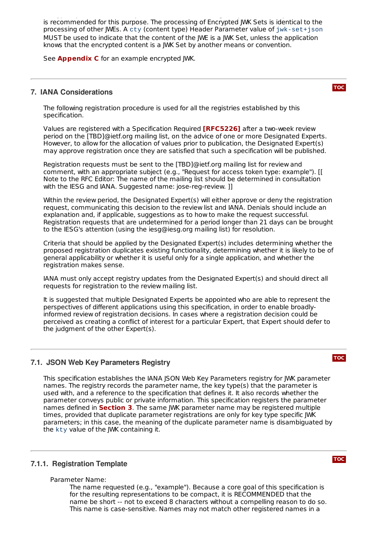Encrypted JWK Set, which is a JWK Set, which is a JWE with the UTF-8 encoding of a JWK Set as its planning of a is recommended for this purpose. The processing of Encrypted JWK Sets is identical to the processing of other JWEs. A cty (content type) Header Parameter value of jwk-set+json MUST be used to indicate that the content of the JWE is a JWK Set, unless the application knows that the encrypted content is a JWK Set by another means or convention.

<span id="page-6-0"></span>See **[Appendix](#page-15-0) C** for an example encrypted JWK.

# **7. IANA Considerations**

The following registration procedure is used for all the registries established by this specification.

Values are registered with a Specification Required **[\[RFC5226\]](#page-12-20)** after a two-week review period on the [TBD]@ietf.org mailing list, on the advice of one or more Designated Experts. However, to allow for the allocation of values prior to publication, the Designated Expert(s) may approve registration once they are satisfied that such a specification will be published.

Registration requests must be sent to the [TBD]@ietf.org mailing list for review and comment, with an appropriate subject (e.g., "Request for access token type: example"). [[ Note to the RFC Editor: The name of the mailing list should be determined in consultation with the IESG and IANA. Suggested name: jose-reg-review. ]]

Within the review period, the Designated Expert(s) will either approve or deny the registration request, communicating this decision to the review list and IANA. Denials should include an explanation and, if applicable, suggestions as to how to make the request successful. Registration requests that are undetermined for a period longer than 21 days can be brought to the IESG's attention (using the iesg@iesg.org mailing list) for resolution.

Criteria that should be applied by the Designated Expert(s) includes determining whether the proposed registration duplicates existing functionality, determining whether it is likely to be of general applicability or whether it is useful only for a single application, and whether the registration makes sense.

IANA must only accept registry updates from the Designated Expert(s) and should direct all requests for registration to the review mailing list.

It is suggested that multiple Designated Experts be appointed who are able to represent the perspectives of different applications using this specification, in order to enable broadlyinformed review of registration decisions. In cases where a registration decision could be perceived as creating a conflict of interest for a particular Expert, that Expert should defer to the judgment of the other Expert(s).

# <span id="page-6-1"></span>**7.1. JSON Web Key Parameters Registry**

This specification establishes the IANA JSON Web Key Parameters registry for JWK parameter names. The registry records the parameter name, the key type(s) that the parameter is used with, and a reference to the specification that defines it. It also records whether the parameter conveys public or private information. This specification registers the parameter names defined in **[Section](#page-2-1) 3**. The same JWK parameter name may be registered multiple times, provided that duplicate parameter registrations are only for key type specific JWK parameters; in this case, the meaning of the duplicate parameter name is disambiguated by the kty value of the JWK containing it.

# <span id="page-6-2"></span>**7.1.1. Registration Template**

Parameter Name:

The name requested (e.g., "example"). Because a core goal of this specification is for the resulting representations to be compact, it is RECOMMENDED that the name be short -- not to exceed 8 characters without a compelling reason to do so. This name is case-sensitive. Names may not match other registered names in a

**[TOC](#page-0-0)**

**[TOC](#page-0-0)**

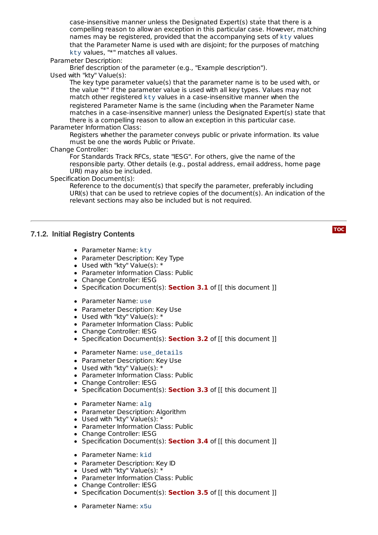This name is case-sensitive. Names may not match other registered names in a case-insensitive manner unless the Designated Expert(s) state that there is a compelling reason to allow an exception in this particular case. However, matching names may be registered, provided that the accompanying sets of kty values that the Parameter Name is used with are disjoint; for the purposes of matching kty values, "\*" matches all values.

Parameter Description:

Brief description of the parameter (e.g., "Example description"). Used with "kty" Value(s):

The key type parameter value(s) that the parameter name is to be used with, or the value "\*" if the parameter value is used with all key types. Values may not match other registered kty values in a case-insensitive manner when the registered Parameter Name is the same (including when the Parameter Name matches in a case-insensitive manner) unless the Designated Expert(s) state that there is a compelling reason to allow an exception in this particular case. Parameter Information Class:

Registers whether the parameter conveys public or private information. Its value must be one the words Public or Private.

Change Controller:

For Standards Track RFCs, state "IESG". For others, give the name of the responsible party. Other details (e.g., postal address, email address, home page URI) may also be included.

Specification Document(s):

Reference to the document(s) that specify the parameter, preferably including URI(s) that can be used to retrieve copies of the document(s). An indication of the relevant sections may also be included but is not required.

# <span id="page-7-0"></span>**7.1.2. Initial Registry Contents**

- Parameter Name: kty
- Parameter Description: Key Type
- Used with "kty" Value(s): \*
- Parameter Information Class: Public
- Change Controller: IESG
- Specification Document(s): **[Section](#page-2-2) 3.1** of [[ this document ]]
- Parameter Name: use
- Parameter Description: Key Use
- Used with "kty" Value(s): \*
- Parameter Information Class: Public
- Change Controller: IESG
- Specification Document(s): **[Section](#page-2-3) 3.2** of [[ this document ]]
- Parameter Name: use\_details
- Parameter Description: Key Use
- Used with "kty" Value(s): \*
- Parameter Information Class: Public
- Change Controller: IESG
- Specification Document(s): **[Section](#page-3-0) 3.3** of [[ this document ]]
- Parameter Name: alg
- Parameter Description: Algorithm
- Used with "kty" Value(s): \*
- Parameter Information Class: Public
- Change Controller: IESG
- Specification Document(s): **[Section](#page-3-1) 3.4** of [[ this document ]]
- Parameter Name: kid
- Parameter Description: Key ID
- Used with "kty" Value(s): \*
- Parameter Information Class: Public
- Change Controller: IESG
- Specification Document(s): **[Section](#page-4-0) 3.5** of [[ this document ]]
- Parameter Name: x5u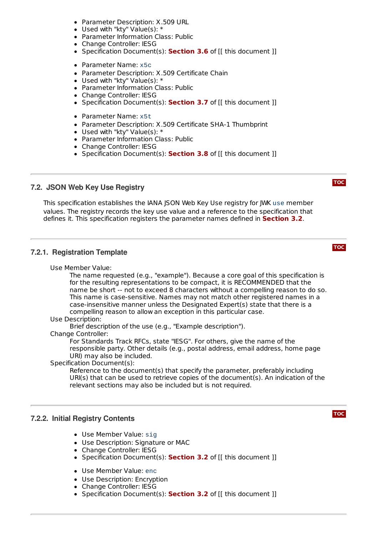- Parameter Description: X.509 URL
- Used with "kty" Value(s): \*
- Parameter Information Class: Public
- Change Controller: IESG
- Specification Document(s): **[Section](#page-4-1) 3.6** of [[ this document ]]
- Parameter Name: x5c
- Parameter Description: X.509 Certificate Chain
- Used with "kty" Value(s): \*
- Parameter Information Class: Public
- Change Controller: IESG
- Specification Document(s): **[Section](#page-4-2) 3.7** of [[ this document ]]
- Parameter Name: x5t
- Parameter Description: X.509 Certificate SHA-1 Thumbprint
- Used with "kty" Value(s): \*
- Parameter Information Class: Public
- Change Controller: IESG
- Specification Document(s): **[Section](#page-4-3) 3.8** of [[ this document ]]

#### <span id="page-8-0"></span>**7.2. JSON Web Key Use Registry**

This specification establishes the IANA JSON Web Key Use registry for JWK use member values. The registry records the key use value and a reference to the specification that defines it. This specification registers the parameter names defined in **[Section](#page-2-3) 3.2**.

#### <span id="page-8-1"></span>**7.2.1. Registration Template**

Use Member Value:

The name requested (e.g., "example"). Because a core goal of this specification is for the resulting representations to be compact, it is RECOMMENDED that the name be short -- not to exceed 8 characters without a compelling reason to do so. This name is case-sensitive. Names may not match other registered names in a case-insensitive manner unless the Designated Expert(s) state that there is a compelling reason to allow an exception in this particular case.

Use Description:

Brief description of the use (e.g., "Example description").

#### Change Controller:

For Standards Track RFCs, state "IESG". For others, give the name of the responsible party. Other details (e.g., postal address, email address, home page URI) may also be included.

#### Specification Document(s):

Reference to the document(s) that specify the parameter, preferably including URI(s) that can be used to retrieve copies of the document(s). An indication of the relevant sections may also be included but is not required.

#### <span id="page-8-2"></span>**7.2.2. Initial Registry Contents**

- Use Member Value: sig
- Use Description: Signature or MAC
- Change Controller: IESG
- Specification Document(s): **[Section](#page-2-3) 3.2** of [[ this document ]]
- Use Member Value: enc
- Use Description: Encryption
- Change Controller: IESG
- <span id="page-8-3"></span>Specification Document(s): **[Section](#page-2-3) 3.2** of [[ this document ]]

# **[TOC](#page-0-0)**

**[TOC](#page-0-0)**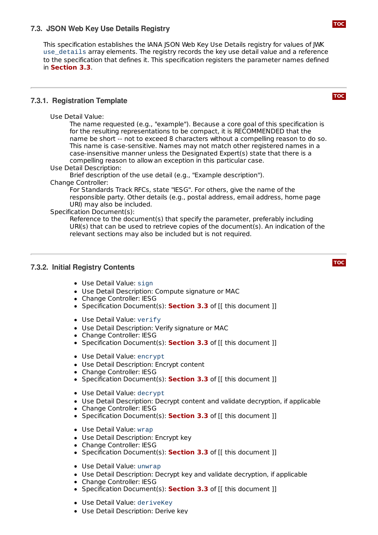# **7.3. JSON Web Key Use Details Registry**

This specification establishes the IANA JSON Web Key Use Details registry for values of JWK use\_details array elements. The registry records the key use detail value and a reference to the specification that defines it. This specification registers the parameter names defined in **[Section](#page-3-0) 3.3**.

# <span id="page-9-0"></span>**7.3.1. Registration Template**

Use Detail Value:

The name requested (e.g., "example"). Because a core goal of this specification is for the resulting representations to be compact, it is RECOMMENDED that the name be short -- not to exceed 8 characters without a compelling reason to do so. This name is case-sensitive. Names may not match other registered names in a case-insensitive manner unless the Designated Expert(s) state that there is a compelling reason to allow an exception in this particular case.

Use Detail Description:

Brief description of the use detail (e.g., "Example description").

#### Change Controller:

For Standards Track RFCs, state "IESG". For others, give the name of the responsible party. Other details (e.g., postal address, email address, home page URI) may also be included.

#### Specification Document(s):

Reference to the document(s) that specify the parameter, preferably including URI(s) that can be used to retrieve copies of the document(s). An indication of the relevant sections may also be included but is not required.

### <span id="page-9-1"></span>**7.3.2. Initial Registry Contents**

- Use Detail Value: sign
- Use Detail Description: Compute signature or MAC
- Change Controller: IESG
- Specification Document(s): **[Section](#page-3-0) 3.3** of [[ this document ]]
- Use Detail Value: verify
- Use Detail Description: Verify signature or MAC
- Change Controller: IESG
- Specification Document(s): **[Section](#page-3-0) 3.3** of [[ this document ]]
- Use Detail Value: encrypt
- Use Detail Description: Encrypt content
- Change Controller: IESG
- Specification Document(s): **[Section](#page-3-0) 3.3** of [[ this document ]]
- Use Detail Value: decrypt
- Use Detail Description: Decrypt content and validate decryption, if applicable
- Change Controller: IESG
- Specification Document(s): **[Section](#page-3-0) 3.3** of [[ this document ]]
- Use Detail Value: wrap
- Use Detail Description: Encrypt key
- Change Controller: IESG
- Specification Document(s): **[Section](#page-3-0) 3.3** of [[ this document ]]
- Use Detail Value: unwrap
- Use Detail Description: Decrypt key and validate decryption, if applicable
- Change Controller: IESG
- Specification Document(s): **[Section](#page-3-0) 3.3** of [[ this document ]]
- Use Detail Value: deriveKey
- Use Detail Description: Derive key

**[TOC](#page-0-0)**

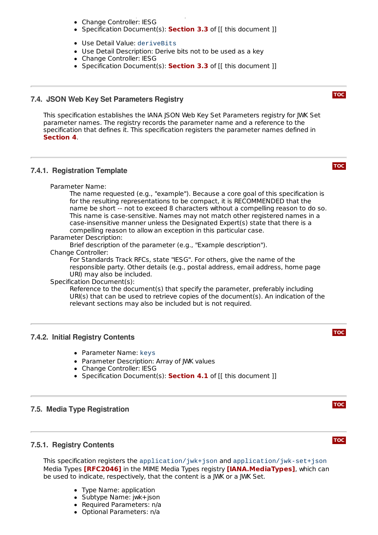- Use Detail Description: Derive key Change Controller: IESG
- Specification Document(s): **[Section](#page-3-0) 3.3** of [[ this document ]]
- Use Detail Value: deriveBits
- Use Detail Description: Derive bits not to be used as a key
- Change Controller: IESG
- Specification Document(s): **[Section](#page-3-0) 3.3** of [[ this document ]]

# <span id="page-10-0"></span>**7.4. JSON Web Key Set Parameters Registry**

This specification establishes the IANA JSON Web Key Set Parameters registry for JWK Set parameter names. The registry records the parameter name and a reference to the specification that defines it. This specification registers the parameter names defined in . **[Section](#page-5-0) 4**

#### <span id="page-10-1"></span>**7.4.1. Registration Template**

Parameter Name:

The name requested (e.g., "example"). Because a core goal of this specification is for the resulting representations to be compact, it is RECOMMENDED that the name be short -- not to exceed 8 characters without a compelling reason to do so. This name is case-sensitive. Names may not match other registered names in a case-insensitive manner unless the Designated Expert(s) state that there is a compelling reason to allow an exception in this particular case.

Parameter Description:

Brief description of the parameter (e.g., "Example description").

Change Controller:

For Standards Track RFCs, state "IESG". For others, give the name of the responsible party. Other details (e.g., postal address, email address, home page URI) may also be included.

#### Specification Document(s):

Reference to the document(s) that specify the parameter, preferably including URI(s) that can be used to retrieve copies of the document(s). An indication of the relevant sections may also be included but is not required.

#### <span id="page-10-2"></span>**7.4.2. Initial Registry Contents**

- Parameter Name: keys
- Parameter Description: Array of JWK values
- Change Controller: IESG
- Specification Document(s): **[Section](#page-5-1) 4.1** of [[ this document ]]

# <span id="page-10-4"></span><span id="page-10-3"></span>**7.5. Media Type Registration**

# **7.5.1. Registry Contents**

This specification registers the application/jwk+json and application/jwk-set+json **Media Types [\[RFC2046\]](#page-12-21) in the MIME Media Types registry [\[IANA.MediaTypes\]](#page-12-22), which can** be used to indicate, respectively, that the content is a JWK or a JWK Set.

- Type Name: application
- Subtype Name: jwk+json
- Required Parameters: n/a
- Optional Parameters: n/a



**[TOC](#page-0-0)**



#### **[TOC](#page-0-0)**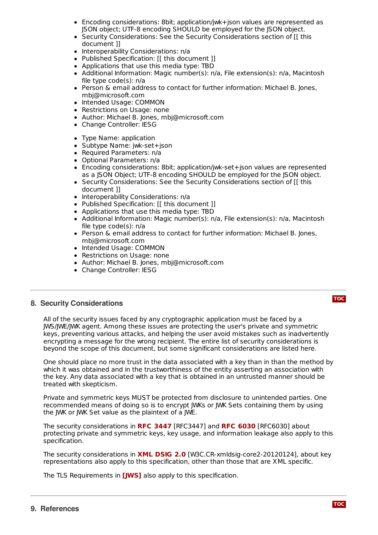- Optional Parameters: n/a Encoding considerations: 8bit; application/jwk+json values are represented as JSON object; UTF-8 encoding SHOULD be employed for the JSON object.
- Security Considerations: See the Security Considerations section of [[ this document ]]
- Interoperability Considerations: n/a
- Published Specification: [[ this document ]]
- Applications that use this media type: TBD
- Additional Information: Magic number(s): n/a, File extension(s): n/a, Macintosh file type code(s): n/a
- Person & email address to contact for further information: Michael B. Jones, mbj@microsoft.com
- Intended Usage: COMMON
- Restrictions on Usage: none
- Author: Michael B. Jones, mbj@microsoft.com  $\bullet$
- Change Controller: IESG
- Type Name: application
- Subtype Name: jwk-set+json
- Required Parameters: n/a  $\bullet$
- Optional Parameters: n/a
- Encoding considerations: 8bit; application/jwk-set+json values are represented as a JSON Object; UTF-8 encoding SHOULD be employed for the JSON object.
- Security Considerations: See the Security Considerations section of [[ this document ]]
- Interoperability Considerations: n/a
- Published Specification: [[ this document ]]
- Applications that use this media type: TBD
- Additional Information: Magic number(s): n/a, File extension(s): n/a, Macintosh file type code(s): n/a
- Person & email address to contact for further information: Michael B. Jones, mbj@microsoft.com
- Intended Usage: COMMON
- Restrictions on Usage: none
- Author: Michael B. Jones, mbj@microsoft.com
- Change Controller: IESG

# <span id="page-11-0"></span>**8. Security Considerations**

All of the security issues faced by any cryptographic application must be faced by a JWS/JWE/JWK agent. Among these issues are protecting the user's private and symmetric keys, preventing various attacks, and helping the user avoid mistakes such as inadvertently encrypting a message for the wrong recipient. The entire list of security considerations is beyond the scope of this document, but some significant considerations are listed here.

One should place no more trust in the data associated with a key than in than the method by which it was obtained and in the trustworthiness of the entity asserting an association with the key. Any data associated with a key that is obtained in an untrusted manner should be treated with skepticism.

Private and symmetric keys MUST be protected from disclosure to unintended parties. One recommended means of doing so is to encrypt JWKs or JWK Sets containing them by using the JWK or JWK Set value as the plaintext of a JWE.

The security considerations in [RFC3447] and [RFC6030] about **RFC [3447](#page-12-23) RFC [6030](#page-12-24)** protecting private and symmetric keys, key usage, and information leakage also apply to this specification.

The security considerations in **XML [DSIG](#page-12-25) 2.0** [W3C.CR-xmldsig-core2-20120124], about key representations also apply to this specification, other than those that are XML specific.

The TLS Requirements in **[\[JWS\]](#page-12-6)** also apply to this specification.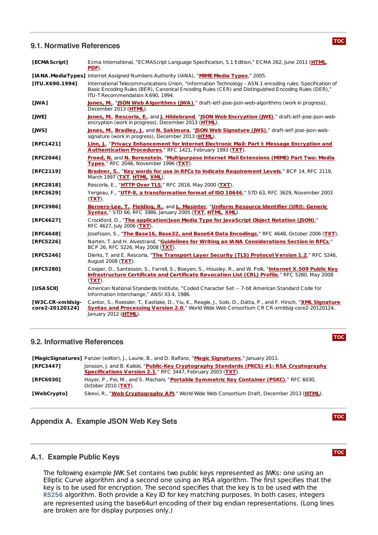#### <span id="page-12-0"></span>**9.1. Normative References**

<span id="page-12-22"></span><span id="page-12-21"></span><span id="page-12-19"></span><span id="page-12-16"></span><span id="page-12-15"></span><span id="page-12-11"></span><span id="page-12-9"></span><span id="page-12-8"></span><span id="page-12-7"></span><span id="page-12-6"></span><span id="page-12-5"></span>

| [ECMA Script]                       | Ecma International, "ECMAScript Language Specification, 5.1 Edition," ECMA 262, June 2011 (HTML,<br>PDF).                                                                                                                                            |
|-------------------------------------|------------------------------------------------------------------------------------------------------------------------------------------------------------------------------------------------------------------------------------------------------|
|                                     | [IANA.MediaTypes] Internet Assigned Numbers Authority (IANA), "MIME Media Types," 2005.                                                                                                                                                              |
| [ITU.X690.1994]                     | International Telecommunications Union, "Information Technology - ASN.1 encoding rules: Specification of<br>Basic Encoding Rules (BER), Canonical Encoding Rules (CER) and Distinguished Encoding Rules (DER),"<br>ITU-T Recommendation X.690, 1994. |
| [JWA]                               | Jones, M., "JSON Web Algorithms (JWA)," draft-ietf-jose-json-web-algorithms (work in progress),<br>December 2013 (HTML).                                                                                                                             |
| [JWE]                               | Jones, M., Rescorla, E., and J. Hildebrand, "JSON Web Encryption (JWE)," draft-ietf-jose-json-web-<br>encryption (work in progress). December 2013 (HTML).                                                                                           |
| [JWS]                               | Jones, M., Bradley, J., and N. Sakimura, "JSON Web Signature (JWS)," draft-ietf-jose-json-web-<br>signature (work in progress), December 2013 (HTML).                                                                                                |
| [RFC1421]                           | Linn, J., "Privacy Enhancement for Internet Electronic Mail: Part I: Message Encryption and<br>Authentication Procedures," RFC 1421, February 1993 (TXT).                                                                                            |
| [RFC2046]                           | Freed, N. and N. Borenstein, "Multipurpose Internet Mail Extensions (MIME) Part Two: Media<br>Types." RFC 2046. November 1996 (TXT).                                                                                                                 |
| [RFC2119]                           | Bradner, S., "Key words for use in RFCs to Indicate Requirement Levels," BCP 14, RFC 2119,<br>March 1997 (TXT, HTML, XML).                                                                                                                           |
| [RFC2818]                           | Rescorla, E., "HTTP Over TLS," RFC 2818, May 2000 (TXT).                                                                                                                                                                                             |
| [RFC3629]                           | Yergeau, F., "UTF-8, a transformation format of ISO 10646," STD 63, RFC 3629, November 2003<br>$(TXT)$ .                                                                                                                                             |
| [RFC3986]                           | Berners-Lee, T., Fielding, R., and L. Masinter, "Uniform Resource Identifier (URI): Generic<br><b>Syntax," STD 66, RFC 3986, January 2005 (TXT, HTML, XML).</b>                                                                                      |
| [RFC4627]                           | Crockford, D., "The application/json Media Type for JavaScript Object Notation (JSON)."<br>RFC 4627, July 2006 (TXT).                                                                                                                                |
| [RFC4648]                           | Josefsson, S., "The Base16, Base32, and Base64 Data Encodings," RFC 4648, October 2006 (TXT).                                                                                                                                                        |
| [RFC5226]                           | Narten, T. and H. Alvestrand, "Guidelines for Writing an IANA Considerations Section in RFCs,"<br>BCP 26, RFC 5226, May 2008 (TXT).                                                                                                                  |
| [RFC5246]                           | Dierks, T. and E. Rescorla, "The Transport Layer Security (TLS) Protocol Version 1.2," RFC 5246,<br>August 2008 (TXT).                                                                                                                               |
| [RFC5280]                           | Cooper, D., Santesson, S., Farrell, S., Boeyen, S., Housley, R., and W. Polk, "Internet X.509 Public Key<br>Infrastructure Certificate and Certificate Revocation List (CRL) Profile," RFC 5280, May 2008<br>$(TXT)$ .                               |
| <b>TUSA SCIIT</b>                   | American National Standards Institute, "Coded Character Set -- 7-bit American Standard Code for<br>Information Interchange," ANSI X3.4, 1986.                                                                                                        |
| [W3C.CR-xmldsig-<br>core2-201201241 | Cantor, S., Roessler, T., Eastlake, D., Yiu, K., Reagle, J., Solo, D., Datta, P., and F. Hirsch, "XML Signature<br>Syntax and Processing Version 2.0," World Wide Web Consortium CR CR-xmldsig-core2-20120124,                                       |

#### <span id="page-12-26"></span><span id="page-12-25"></span><span id="page-12-10"></span><span id="page-12-1"></span>**9.2. Informative References**

<span id="page-12-24"></span><span id="page-12-23"></span>

|                  | [MagicSignatures] Panzer (editor), J., Laurie, B., and D. Balfanz, "Magic Signatures," January 2011.                                                             |
|------------------|------------------------------------------------------------------------------------------------------------------------------------------------------------------|
| <b>TRFC34471</b> | Jonsson, J. and B. Kaliski, "Public-Key Cryptography Standards (PKCS) #1: RSA Cryptography<br><b>Specifications Version 2.1," RFC 3447, February 2003 (TXT).</b> |
| <b>TRFC60301</b> | Hoyer, P., Pei, M., and S. Machani, "Portable Symmetric Key Container (PSKC)," RFC 6030,<br>October 2010 (TXT).                                                  |
| [WebCrypto]      | Sleevi, R., "Web Cryptography API," World Wide Web Consortium Draft, December 2013 (HTML).                                                                       |

# <span id="page-12-12"></span><span id="page-12-3"></span><span id="page-12-2"></span>**Appendix A. Example JSON Web Key Sets**

<span id="page-12-20"></span><span id="page-12-18"></span><span id="page-12-17"></span><span id="page-12-14"></span><span id="page-12-13"></span><span id="page-12-4"></span>January 2012 (**[HTML](http://www.w3.org/TR/2012/CR-xmldsig-core2-20120124)**).

# **A.1. Example Public Keys**

The following example JWK Set contains two public keys represented as JWKs: one using an Elliptic Curve algorithm and a second one using an RSA algorithm. The first specifies that the key is to be used for encryption. The second specifies that the key is to be used with the RS256 algorithm. Both provide a Key ID for key matching purposes. In both cases, integers are represented using the base64url encoding of their big endian representations. (Long lines are broken are for display purposes only.)



**[TOC](#page-0-0)**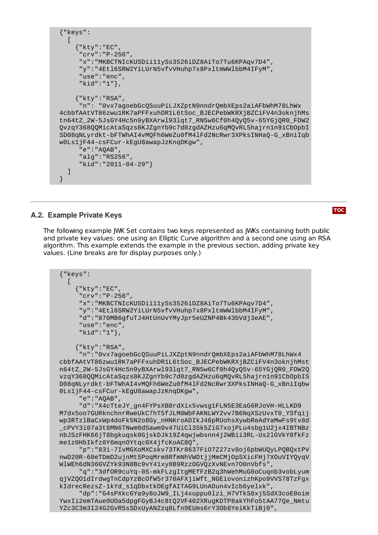```
{"keys":
  \lceil{"kty":"EC",
     "crv":"P-256",
     "x":"MKBCTNIcKUSDii11ySs3526iDZ8AiTo7Tu6KPAqv7D4",
     "y":"4Etl6SRW2YiLUrN5vfvVHuhp7x8PxltmWWlbbM4IFyM",
     "use":"enc",
     "kid":"1"},
    {"kty":"RSA",
     "n": "0vx7agoebGcQSuuPiLJXZptN9nndrQmbXEps2aiAFbWhM78LhWx
4cbbfAAtVT86zwu1RK7aPFFxuhDR1L6tSoc_BJECPebWKRXjBZCiFV4n3oknjhMs
tn64tZ_2W-5JsGY4Hc5n9yBXArwl93lqt7_RN5w6Cf0h4QyQ5v-65YGjQR0_FDW2
QvzqY368QQMicAtaSqzs8KJZgnYb9c7d0zgdAZHzu6qMQvRL5hajrn1n91CbOpbI
SD08qNLyrdkt-bFTWhAI4vMQFh6WeZu0fM4lFd2NcRwr3XPksINHaQ-G_xBniIqb
w0Ls1jF44-csFCur-kEgU8awapJzKnqDKgw",
     "e":"AQAB",
     "alg":"RS256",
     "kid":"2011-04-29"}
  ]
}
```
# <span id="page-13-0"></span>**A.2. Example Private Keys**

The following example JWK Set contains two keys represented as JWKs containing both public and private key values: one using an Elliptic Curve algorithm and a second one using an RSA algorithm. This example extends the example in the previous section, adding private key values. (Line breaks are for display purposes only.)

```
{"keys":
  \lceil{"kty":"EC",
     "crv":"P-256",
     "x":"MKBCTNIcKUSDii11ySs3526iDZ8AiTo7Tu6KPAqv7D4",
     "y":"4Etl6SRW2YiLUrN5vfvVHuhp7x8PxltmWWlbbM4IFyM",
     "d":"870MB6gfuTJ4HtUnUvYMyJpr5eUZNP4Bk43bVdj3eAE",
     "use":"enc",
     "kid":"1"},
    {"kty":"RSA",
     "n":"0vx7agoebGcQSuuPiLJXZptN9nndrQmbXEps2aiAFbWhM78LhWx4
cbbfAAtVT86zwu1RK7aPFFxuhDR1L6tSoc_BJECPebWKRXjBZCiFV4n3oknjhMst
n64tZ_2W-5JsGY4Hc5n9yBXArwl93lqt7_RN5w6Cf0h4QyQ5v-65YGjQR0_FDW2Q
vzqY368QQMicAtaSqzs8KJZgnYb9c7d0zgdAZHzu6qMQvRL5hajrn1n91CbOpbIS
D08qNLyrdkt-bFTWhAI4vMQFh6WeZu0fM4lFd2NcRwr3XPksINHaQ-G_xBniIqbw
0Ls1jF44-csFCur-kEgU8awapJzKnqDKgw",
     "e":"AQAB",
     "d":"X4cTteJY_gn4FYPsXB8rdXix5vwsg1FLN5E3EaG6RJoVH-HLLKD9
M7dx5oo7GURknchnrRweUkC7hT5fJLM0WbFAKNLWY2vv7B6NqXSzUvxT0_YSfqij
wp3RTzlBaCxWp4doFk5N2o8Gy_nHNKroADIkJ46pRUohsXywbReAdYaMwFs9tv8d
_cPVY3i07a3t8MN6TNwm0dSawm9v47UiCl3Sk5ZiG7xojPLu4sbg1U2jx4IBTNBz
nbJSzFHK66jT8bgkuqsk0GjskDJk19Z4qwjwbsnn4j2WBii3RL-Us2lGVkY8fkFz
me1z0HbIkfz0Y6mqnOYtqc0X4jfcKoAC8Q",
     "p":"83i-7IvMGXoMXCskv73TKr8637FiO7Z27zv8oj6pbWUQyLPQBQxtPV
nwD20R-60eTDmD2ujnMt5PoqMrm8RfmNhVWDtjjMmCMjOpSXicFHj7XOuVIYQyqV
WlWEh6dN36GVZYk93N8Bc9vY41xy8B9RzzOGVQzXvNEvn7O0nVbfs",
     "q":"3dfOR9cuYq-0S-mkFLzgItgMEfFzB2q3hWehMuG0oCuqnb3vobLyum
qjVZQO1dIrdwgTnCdpYzBcOfW5r370AFXjiWft_NGEiovonizhKpo9VVS78TzFgx
kIdrecRezsZ-1kYd_s1qDbxtkDEgfAITAG9LUnADun4vIcb6yelxk",
     "dp":"G4sPXkc6Ya9y8oJW9_ILj4xuppu0lzi_H7VTkS8xj5SdX3coE0oim
YwxIi2emTAue0UOa5dpgFGyBJ4c8tQ2VF402XRugKDTP8akYhFo5tAA77Qe_Nmtu
YZc3C3m3I24G2GvR5sSDxUyAN2zq8Lfn9EUms6rY3Ob8YeiKkTiBj0",
```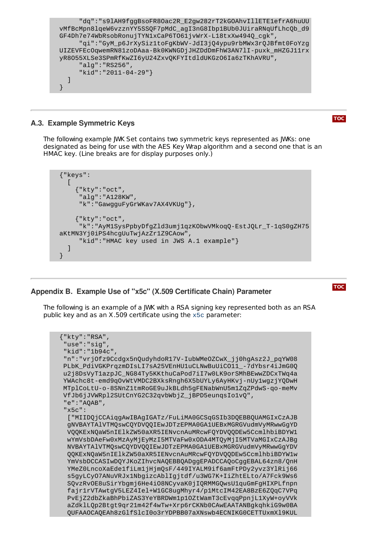```
"dq":"s9lAH9fggBsoFR8Oac2R_E2gw282rT2kGOAhvIllETE1efrA6huUU
vMfBcMpn8lqeW6vzznYY5SSQF7pMdC_agI3nG8Ibp1BUb0JUiraRNqUfLhcQb_d9
GF4Dh7e74WbRsobRonujTYN1xCaP6TO61jvWrX-L18txXw494Q_cgk",
     "qi":"GyM_p6JrXySiz1toFgKbWV-JdI3jQ4ypu9rbMWx3rQJBfmt0FoYzg
UIZEVFEcOqwemRN81zoDAaa-Bk0KWNGDjJHZDdDmFhW3AN7lI-puxk_mHZGJ11rx
yR8O55XLSe3SPmRfKwZI6yU24ZxvQKFYItdldUKGzO6Ia6zTKhAVRU",
     "alg":"RS256",
     "kid":"2011-04-29"}
 ]
}
```
# <span id="page-14-0"></span>**A.3. Example Symmetric Keys**

**[TOC](#page-0-0)**

The following example JWK Set contains two symmetric keys represented as JWKs: one designated as being for use with the AES Key Wrap algorithm and a second one that is an HMAC key. (Line breaks are for display purposes only.)

```
{"keys":
  \Gamma{"kty":"oct",
     "alg":"A128KW",
     "k":"GawgguFyGrWKav7AX4VKUg"},
    {"kty":"oct",
     "k":"AyM1SysPpbyDfgZld3umj1qzKObwVMkoqQ-EstJQLr_T-1qS0gZH75
aKtMN3Yj0iPS4hcgUuTwjAzZr1Z9CAow",
     "kid":"HMAC key used in JWS A.1 example"}
  ]
}
```
<span id="page-14-1"></span>**Appendix B. Example Use of "x5c" (X.509 Certificate Chain) Parameter**

The following is an example of a JWK with a RSA signing key represented both as an RSA public key and as an X.509 certificate using the x5c parameter:

```
{"kty":"RSA",
"use":"sig",
"kid":"1b94c",
"n":"vrjOfz9Ccdgx5nQudyhdoR17V-IubWMeOZCwX_jj0hgAsz2J_pqYW08
PLbK_PdiVGKPrqzmDIsLI7sA25VEnHU1uCLNwBuUiCO11_-7dYbsr4iJmG0Q
u2j8DsVyT1azpJC_NG84Ty5KKthuCaPod7iI7w0LK9orSMhBEwwZDCxTWq4a
YWAchc8t-emd9qOvWtVMDC2BXksRngh6X5bUYLy6AyHKvj-nUy1wgzjYQDwH
MTplCoLtU-o-8SNnZ1tmRoGE9uJkBLdh5gFENabWnU5m1ZqZPdwS-qo-meMv
VfJb6jJVWRpl2SUtCnYG2C32qvbWbjZ_jBPD5eunqsIo1vQ",
"e":"AQAB",
"x5c":
 ["MIIDQjCCAiqgAwIBAgIGATz/FuLiMA0GCSqGSIb3DQEBBQUAMGIxCzAJB
 gNVBAYTAlVTMQswCQYDVQQIEwJDTzEPMA0GA1UEBxMGRGVudmVyMRwwGgYD
 VQQKExNQaW5nIElkZW50aXR5IENvcnAuMRcwFQYDVQQDEw5CcmlhbiBDYW1
 wYmVsbDAeFw0xMzAyMjEyMzI5MTVaFw0xODA4MTQyMjI5MTVaMGIxCzAJBg
 NVBAYTAlVTMQswCQYDVQQIEwJDTzEPMA0GA1UEBxMGRGVudmVyMRwwGgYDV
 QQKExNQaW5nIElkZW50aXR5IENvcnAuMRcwFQYDVQQDEw5CcmlhbiBDYW1w
 YmVsbDCCASIwDQYJKoZIhvcNAQEBBQADggEPADCCAQoCggEBAL64zn8/QnH
 YMeZ0LncoXaEde1fiLm1jHjmQsF/449IYALM9if6amFtPDy2yvz3YlRij66
 s5gyLCyO7ANuVRJx1NbgizcAblIgjtdf/u3WG7K+IiZhtELto/A7Fck9Ws6
 SQvzRvOE8uSirYbgmj6He4iO8NCyvaK0jIQRMMGQwsU1quGmFgHIXPLfnpn
 fajr1rVTAwtgV5LEZ4Iel+W1GC8ugMhyr4/p1MtcIM42EA8BzE6ZQqC7VPq
 PvEjZ2dbZkaBhPbiZAS3YeYBRDWm1p1OZtWamT3cEvqqPpnjL1XyW+oyVVk
 aZdklLQp2Btgt9qr21m42f4wTw+Xrp6rCKNb0CAwEAATANBgkqhkiG9w0BA
 QUFAAOCAQEAh8zGlfSlcI0o3rYDPBB07aXNswb4ECNIKG0CETTUxmXl9KUL
```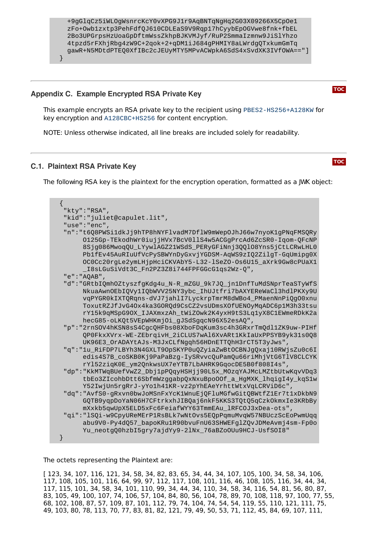

# <span id="page-15-0"></span>**Appendix C. Example Encrypted RSA Private Key**

This example encrypts an RSA private key to the recipient using PBES2-HS256+A128KW for key encryption and A128CBC+HS256 for content encryption.

<span id="page-15-1"></span>NOTE: Unless otherwise indicated, all line breaks are included solely for readability.

# **C.1. Plaintext RSA Private Key**

The following RSA key is the plaintext for the encryption operation, formatted as a JWK object:

```
{
 "kty":"RSA",
 "kid":"juliet@capulet.lit",
 "use":"enc",
 "n":"t6Q8PWSi1dkJj9hTP8hNYFlvadM7DflW9mWepOJhJ66w7nyoK1gPNqFMSQRy
      O125Gp-TEkodhWr0iujjHVx7BcV0llS4w5ACGgPrcAd6ZcSR0-Iqom-QFcNP
      8Sjg086MwoqQU_LYywlAGZ21WSdS_PERyGFiNnj3QQlO8Yns5jCtLCRwLHL0
      Pb1fEv45AuRIuUfVcPySBWYnDyGxvjYGDSM-AqWS9zIQ2ZilgT-GqUmipg0X
      OC0Cc20rgLe2ymLHjpHciCKVAbY5-L32-lSeZO-Os6U15_aXrk9Gw8cPUaX1
      _I8sLGuSiVdt3C_Fn2PZ3Z8i744FPFGGcG1qs2Wz-Q",
 "e":"AQAB",
 "d":"GRtbIQmhOZtyszfgKdg4u_N-R_mZGU_9k7JQ_jn1DnfTuMdSNprTeaSTyWfS
      NkuaAwnOEbIQVy1IQbWVV25NY3ybc_IhUJtfri7bAXYEReWaCl3hdlPKXy9U
      vqPYGR0kIXTQRqns-dVJ7jahlI7LyckrpTmrM8dWBo4_PMaenNnPiQgO0xnu
      ToxutRZJfJvG4Ox4ka3GORQd9CsCZ2vsUDmsXOfUENOyMqADC6p1M3h33tsu
      rY15k9qMSpG9OX_IJAXmxzAh_tWiZOwk2K4yxH9tS3Lq1yX8C1EWmeRDkK2a
      hecG85-oLKQt5VEpWHKmjOi_gJSdSgqcN96X52esAQ",
 "p":"2rnSOV4hKSN8sS4CgcQHFbs08XboFDqKum3sc4h3GRxrTmQdl1ZK9uw-PIHf
      QP0FkxXVrx-WE-ZEbrqivH_2iCLUS7wAl6XvARt1KkIaUxPPSYB9yk31s0Q8
      UK96E3_OrADAYtAJs-M3JxCLfNgqh56HDnETTQhH3rCT5T3yJws",
 "q":"1u_RiFDP7LBYh3N4GXLT9OpSKYP0uQZyiaZwBtOCBNJgQxaj10RWjsZu0c6I
      edis4S7B_coSKB0Kj9PaPaBzg-IySRvvcQuPamQu66riMhjVtG6TlV8CLCYK
      rYl52ziqK0E_ym2QnkwsUX7eYTB7LbAHRK9GqocDE5B0f808I4s",
 "dp":"KkMTWqBUefVwZ2_Dbj1pPQqyHSHjj90L5x_MOzqYAJMcLMZtbUtwKqvVDq3
      tbEo3ZIcohbDtt6SbfmWzggabpQxNxuBpoOOf_a_HgMXK_lhqigI4y_kqS1w
      Y52IwjUn5rgRrJ-yYo1h41KR-vz2pYhEAeYrhttWtxVqLCRViD6c",
 "dq":"AvfS0-gRxvn0bwJoMSnFxYcK1WnuEjQFluMGfwGitQBWtfZ1Er7t1xDkbN9
      GQTB9yqpDoYaN06H7CFtrkxhJIBQaj6nkF5KKS3TQtQ5qCzkOkmxIe3KRbBy
      mXxkb5qwUpX5ELD5xFc6FeiafWYY63TmmEAu_lRFCOJ3xDea-ots",
 "qi":"lSQi-w9CpyUReMErP1RsBLk7wNtOvs5EQpPqmuMvqW57NBUczScEoPwmUqq
      abu9V0-Py4dQ57_bapoKRu1R90bvuFnU63SHWEFglZQvJDMeAvmj4sm-Fp0o
      Yu_neotgQ0hzbI5gry7ajdYy9-2lNx_76aBZoOUu9HCJ-UsfSOI8"
}
```
The octets representing the Plaintext are:

[ 123, 34, 107, 116, 121, 34, 58, 34, 82, 83, 65, 34, 44, 34, 107, 105, 100, 34, 58, 34, 106, 117, 108, 105, 101, 116, 64, 99, 97, 112, 117, 108, 101, 116, 46, 108, 105, 116, 34, 44, 34, 117, 115, 101, 34, 58, 34, 101, 110, 99, 34, 44, 34, 110, 34, 58, 34, 116, 54, 81, 56, 80, 87, 83, 105, 49, 100, 107, 74, 106, 57, 104, 84, 80, 56, 104, 78, 89, 70, 108, 118, 97, 100, 77, 55, 68, 102, 108, 87, 57, 109, 87, 101, 112, 79, 74, 104, 74, 54, 54, 119, 55, 110, 121, 111, 75, 49, 103, 80, 78, 113, 70, 77, 83, 81, 82, 121, 79, 49, 50, 53, 71, 112, 45, 84, 69, 107, 111,

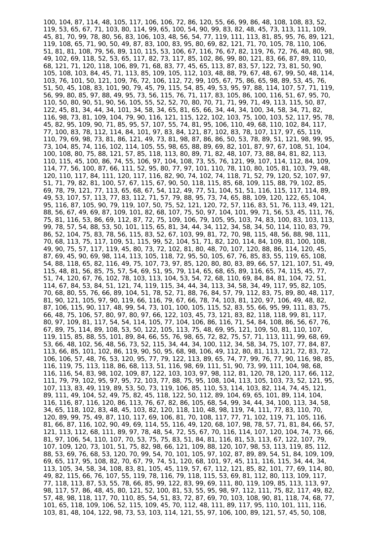100, 104, 87, 114, 48, 105, 117, 106, 106, 72, 86, 120, 55, 66, 99, 86, 48, 108, 108, 83, 52, 119, 53, 65, 67, 71, 103, 80, 114, 99, 65, 100, 54, 90, 99, 83, 82, 48, 45, 73, 113, 111, 109, 45, 81, 70, 99, 78, 80, 56, 83, 106, 103, 48, 56, 54, 77, 119, 111, 113, 81, 85, 95, 76, 89, 121, 119, 108, 65, 71, 90, 50, 49, 87, 83, 100, 83, 95, 80, 69, 82, 121, 71, 70, 105, 78, 110, 106, 51, 81, 81, 108, 79, 56, 89, 110, 115, 53, 106, 67, 116, 76, 67, 82, 119, 76, 72, 76, 48, 80, 98, 49, 102, 69, 118, 52, 53, 65, 117, 82, 73, 117, 85, 102, 86, 99, 80, 121, 83, 66, 87, 89, 110, 68, 121, 71, 120, 118, 106, 89, 71, 68, 83, 77, 45, 65, 113, 87, 83, 57, 122, 73, 81, 50, 90, 105, 108, 103, 84, 45, 71, 113, 85, 109, 105, 112, 103, 48, 88, 79, 67, 48, 67, 99, 50, 48, 114, 103, 76, 101, 50, 121, 109, 76, 72, 106, 112, 72, 99, 105, 67, 75, 86, 65, 98, 89, 53, 45, 76, 51, 50, 45, 108, 83, 101, 90, 79, 45, 79, 115, 54, 85, 49, 53, 95, 97, 88, 114, 107, 57, 71, 119, 56, 99, 80, 85, 97, 88, 49, 95, 73, 56, 115, 76, 71, 117, 83, 105, 86, 100, 116, 51, 67, 95, 70, 110, 50, 80, 90, 51, 90, 56, 105, 55, 52, 52, 70, 80, 70, 71, 71, 99, 71, 49, 113, 115, 50, 87, 122, 45, 81, 34, 44, 34, 101, 34, 58, 34, 65, 81, 65, 66, 34, 44, 34, 100, 34, 58, 34, 71, 82, 116, 98, 73, 81, 109, 104, 79, 90, 116, 121, 115, 122, 102, 103, 75, 100, 103, 52, 117, 95, 78, 45, 82, 95, 109, 90, 71, 85, 95, 57, 107, 55, 74, 81, 95, 106, 110, 49, 68, 110, 102, 84, 117, 77, 100, 83, 78, 112, 114, 84, 101, 97, 83, 84, 121, 87, 102, 83, 78, 107, 117, 97, 65, 119, 110, 79, 69, 98, 73, 81, 86, 121, 49, 73, 81, 98, 87, 86, 86, 50, 53, 78, 89, 51, 121, 98, 99, 95, 73, 104, 85, 74, 116, 102, 114, 105, 55, 98, 65, 88, 89, 69, 82, 101, 87, 97, 67, 108, 51, 104, 100, 108, 80, 75, 88, 121, 57, 85, 118, 113, 80, 89, 71, 82, 48, 107, 73, 88, 84, 81, 82, 113, 110, 115, 45, 100, 86, 74, 55, 106, 97, 104, 108, 73, 55, 76, 121, 99, 107, 114, 112, 84, 109, 114, 77, 56, 100, 87, 66, 111, 52, 95, 80, 77, 97, 101, 110, 78, 110, 80, 105, 81, 103, 79, 48, 120, 110, 117, 84, 111, 120, 117, 116, 82, 90, 74, 102, 74, 118, 71, 52, 79, 120, 52, 107, 97, 51, 71, 79, 82, 81, 100, 57, 67, 115, 67, 90, 50, 118, 115, 85, 68, 109, 115, 88, 79, 102, 85, 69, 78, 79, 121, 77, 113, 65, 68, 67, 54, 112, 49, 77, 51, 104, 51, 51, 116, 115, 117, 114, 89, 49, 53, 107, 57, 113, 77, 83, 112, 71, 57, 79, 88, 95, 73, 74, 65, 88, 109, 120, 122, 65, 104, 95, 116, 87, 105, 90, 79, 119, 107, 50, 75, 52, 121, 120, 72, 57, 116, 83, 51, 76, 113, 49, 121, 88, 56, 67, 49, 69, 87, 109, 101, 82, 68, 107, 75, 50, 97, 104, 101, 99, 71, 56, 53, 45, 111, 76, 75, 81, 116, 53, 86, 69, 112, 87, 72, 75, 109, 106, 79, 105, 95, 103, 74, 83, 100, 83, 103, 113, 99, 78, 57, 54, 88, 53, 50, 101, 115, 65, 81, 34, 44, 34, 112, 34, 58, 34, 50, 114, 110, 83, 79, 86, 52, 104, 75, 83, 78, 56, 115, 83, 52, 67, 103, 99, 81, 72, 70, 98, 115, 48, 56, 88, 98, 111, 70, 68, 113, 75, 117, 109, 51, 115, 99, 52, 104, 51, 71, 82, 120, 114, 84, 109, 81, 100, 108, 49, 90, 75, 57, 117, 119, 45, 80, 73, 72, 102, 81, 80, 48, 70, 107, 120, 88, 86, 114, 120, 45, 87, 69, 45, 90, 69, 98, 114, 113, 105, 118, 72, 95, 50, 105, 67, 76, 85, 83, 55, 119, 65, 108, 54, 88, 118, 65, 82, 116, 49, 75, 107, 73, 97, 85, 120, 80, 80, 83, 89, 66, 57, 121, 107, 51, 49, 115, 48, 81, 56, 85, 75, 57, 54, 69, 51, 95, 79, 114, 65, 68, 65, 89, 116, 65, 74, 115, 45, 77, 51, 74, 120, 67, 76, 102, 78, 103, 113, 104, 53, 54, 72, 68, 110, 69, 84, 84, 81, 104, 72, 51, 114, 67, 84, 53, 84, 51, 121, 74, 119, 115, 34, 44, 34, 113, 34, 58, 34, 49, 117, 95, 82, 105, 70, 68, 80, 55, 76, 66, 89, 104, 51, 78, 52, 71, 88, 76, 84, 57, 79, 112, 83, 75, 89, 80, 48, 117, 81, 90, 121, 105, 97, 90, 119, 66, 116, 79, 67, 66, 78, 74, 103, 81, 120, 97, 106, 49, 48, 82, 87, 106, 115, 90, 117, 48, 99, 54, 73, 101, 100, 105, 115, 52, 83, 55, 66, 95, 99, 111, 83, 75, 66, 48, 75, 106, 57, 80, 97, 80, 97, 66, 122, 103, 45, 73, 121, 83, 82, 118, 118, 99, 81, 117, 80, 97, 109, 81, 117, 54, 54, 114, 105, 77, 104, 106, 86, 116, 71, 54, 84, 108, 86, 56, 67, 76, 67, 89, 75, 114, 89, 108, 53, 50, 122, 105, 113, 75, 48, 69, 95, 121, 109, 50, 81, 110, 107, 119, 115, 85, 88, 55, 101, 89, 84, 66, 55, 76, 98, 65, 72, 82, 75, 57, 71, 113, 111, 99, 68, 69, 53, 66, 48, 102, 56, 48, 56, 73, 52, 115, 34, 44, 34, 100, 112, 34, 58, 34, 75, 107, 77, 84, 87, 113, 66, 85, 101, 102, 86, 119, 90, 50, 95, 68, 98, 106, 49, 112, 80, 81, 113, 121, 72, 83, 72, 106, 106, 57, 48, 76, 53, 120, 95, 77, 79, 122, 113, 89, 65, 74, 77, 99, 76, 77, 90, 116, 98, 85, 116, 119, 75, 113, 118, 86, 68, 113, 51, 116, 98, 69, 111, 51, 90, 73, 99, 111, 104, 98, 68, 116, 116, 54, 83, 98, 102, 109, 87, 122, 103, 103, 97, 98, 112, 81, 120, 78, 120, 117, 66, 112, 111, 79, 79, 102, 95, 97, 95, 72, 103, 77, 88, 75, 95, 108, 104, 113, 105, 103, 73, 52, 121, 95, 107, 113, 83, 49, 119, 89, 53, 50, 73, 119, 106, 85, 110, 53, 114, 103, 82, 114, 74, 45, 121, 89, 111, 49, 104, 52, 49, 75, 82, 45, 118, 122, 50, 112, 89, 104, 69, 65, 101, 89, 114, 104, 116, 116, 87, 116, 120, 86, 113, 76, 67, 82, 86, 105, 68, 54, 99, 34, 44, 34, 100, 113, 34, 58, 34, 65, 118, 102, 83, 48, 45, 103, 82, 120, 118, 110, 48, 98, 119, 74, 111, 77, 83, 110, 70, 120, 89, 99, 75, 49, 87, 110, 117, 69, 106, 81, 70, 108, 117, 77, 71, 102, 119, 71, 105, 116, 81, 66, 87, 116, 102, 90, 49, 69, 114, 55, 116, 49, 120, 68, 107, 98, 78, 57, 71, 81, 84, 66, 57, 121, 113, 112, 68, 111, 89, 97, 78, 48, 54, 72, 55, 67, 70, 116, 114, 107, 120, 104, 74, 73, 66, 81, 97, 106, 54, 110, 107, 70, 53, 75, 75, 83, 51, 84, 81, 116, 81, 53, 113, 67, 122, 107, 79, 107, 109, 120, 73, 101, 51, 75, 82, 98, 66, 121, 109, 88, 120, 107, 98, 53, 113, 119, 85, 112, 88, 53, 69, 76, 68, 53, 120, 70, 99, 54, 70, 101, 105, 97, 102, 87, 89, 89, 54, 51, 84, 109, 109, 69, 65, 117, 95, 108, 82, 70, 67, 79, 74, 51, 120, 68, 101, 97, 45, 111, 116, 115, 34, 44, 34, 113, 105, 34, 58, 34, 108, 83, 81, 105, 45, 119, 57, 67, 112, 121, 85, 82, 101, 77, 69, 114, 80, 49, 82, 115, 66, 76, 107, 55, 119, 78, 116, 79, 118, 115, 53, 69, 81, 112, 80, 113, 109, 117, 77, 118, 113, 87, 53, 55, 78, 66, 85, 99, 122, 83, 99, 69, 111, 80, 119, 109, 85, 113, 113, 97, 98, 117, 57, 86, 48, 45, 80, 121, 52, 100, 81, 53, 55, 95, 98, 97, 112, 111, 75, 82, 117, 49, 82, 57, 48, 98, 118, 117, 70, 110, 85, 54, 51, 83, 72, 87, 69, 70, 103, 108, 90, 81, 118, 74, 68, 77, 101, 65, 118, 109, 106, 52, 115, 109, 45, 70, 112, 48, 111, 89, 117, 95, 110, 101, 111, 116, 103, 81, 48, 104, 122, 98, 73, 53, 103, 114, 121, 55, 97, 106, 100, 89, 121, 57, 45, 50, 108,

49, 103, 80, 78, 113, 70, 77, 83, 81, 82, 121, 79, 49, 50, 53, 71, 112, 45, 84, 69, 107, 111,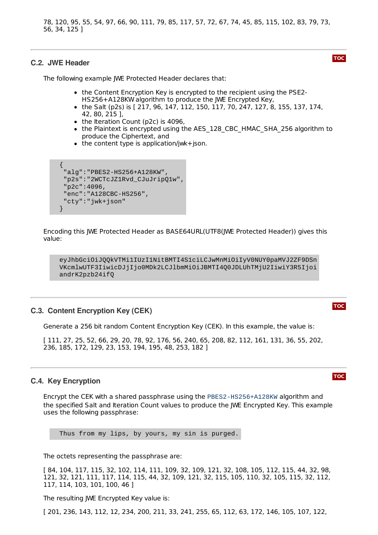103, 81, 48, 104, 122, 98, 73, 53, 103, 114, 121, 55, 97, 106, 100, 89, 121, 57, 45, 50, 108, 78, 120, 95, 55, 54, 97, 66, 90, 111, 79, 85, 117, 57, 72, 67, 74, 45, 85, 115, 102, 83, 79, 73, 56, 34, 125 ]

#### <span id="page-17-0"></span>**C.2. JWE Header**

**[TOC](#page-0-0)**

The following example JWE Protected Header declares that:

- the Content Encryption Key is encrypted to the recipient using the PSE2-HS256+A128KW algorithm to produce the JWE Encrypted Key,
- the Salt (p2s) is  $[217, 96, 147, 112, 150, 117, 70, 247, 127, 8, 155, 137, 174,$ 42, 80, 215 ],
- the Iteration Count (p2c) is 4096,
- the Plaintext is encrypted using the AES 128 CBC HMAC SHA 256 algorithm to produce the Ciphertext, and
- $\bullet$  the content type is application/jwk+json.

```
{
 "alg":"PBES2-HS256+A128KW",
 "p2s":"2WCTcJZ1Rvd_CJuJripQ1w",
 "p2c":4096,
 "enc":"A128CBC-HS256",
 "cty":"jwk+json"
}
```
Encoding this JWE Protected Header as BASE64URL(UTF8(JWE Protected Header)) gives this value:

eyJhbGciOiJQQkVTMi1IUzI1NitBMTI4S1ciLCJwMnMiOiIyV0NUY0paMVJ2ZF9DSn VKcmlwUTF3IiwicDJjIjo0MDk2LCJlbmMiOiJBMTI4Q0JDLUhTMjU2IiwiY3R5Ijoi andrK2pzb24ifQ

#### <span id="page-17-1"></span>**C.3. Content Encryption Key (CEK)**

Generate a 256 bit random Content Encryption Key (CEK). In this example, the value is:

[ 111, 27, 25, 52, 66, 29, 20, 78, 92, 176, 56, 240, 65, 208, 82, 112, 161, 131, 36, 55, 202, 236, 185, 172, 129, 23, 153, 194, 195, 48, 253, 182 ]

#### <span id="page-17-2"></span>**C.4. Key Encryption**

Encrypt the CEK with a shared passphrase using the PBES2-HS256+A128KW algorithm and the specified Salt and Iteration Count values to produce the JWE Encrypted Key. This example uses the following passphrase:

Thus from my lips, by yours, my sin is purged.

The octets representing the passphrase are:

[ 84, 104, 117, 115, 32, 102, 114, 111, 109, 32, 109, 121, 32, 108, 105, 112, 115, 44, 32, 98, 121, 32, 121, 111, 117, 114, 115, 44, 32, 109, 121, 32, 115, 105, 110, 32, 105, 115, 32, 112, 117, 114, 103, 101, 100, 46 ]

The resulting JWE Encrypted Key value is:

[ 201, 236, 143, 112, 12, 234, 200, 211, 33, 241, 255, 65, 112, 63, 172, 146, 105, 107, 122,

**[TOC](#page-0-0)**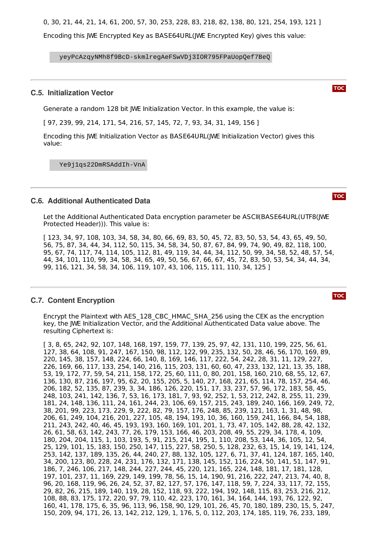[ 201, 236, 143, 112, 12, 234, 200, 211, 33, 241, 255, 65, 112, 63, 172, 146, 105, 107, 122, 0, 30, 21, 44, 21, 14, 61, 200, 57, 30, 253, 228, 83, 218, 82, 138, 80, 121, 254, 193, 121 ]

Encoding this JWE Encrypted Key as BASE64URL(JWE Encrypted Key) gives this value:

yeyPcAzqyNMh8f9BcD-skmlregAeFSwVDj3IOR795FPaUopQef7BeQ

#### <span id="page-18-0"></span>**C.5. Initialization Vector**

Generate a random 128 bit JWE Initialization Vector. In this example, the value is:

[ 97, 239, 99, 214, 171, 54, 216, 57, 145, 72, 7, 93, 34, 31, 149, 156 ]

Encoding this JWE Initialization Vector as BASE64URL(JWE Initialization Vector) gives this value:

Ye9j1qs22DmRSAddIh-VnA

#### <span id="page-18-1"></span>**C.6. Additional Authenticated Data**

Let the Additional Authenticated Data encryption parameter be ASCII(BASE64URL(UTF8(JWE Protected Header))). This value is:

[ 123, 34, 97, 108, 103, 34, 58, 34, 80, 66, 69, 83, 50, 45, 72, 83, 50, 53, 54, 43, 65, 49, 50, 56, 75, 87, 34, 44, 34, 112, 50, 115, 34, 58, 34, 50, 87, 67, 84, 99, 74, 90, 49, 82, 118, 100, 95, 67, 74, 117, 74, 114, 105, 112, 81, 49, 119, 34, 44, 34, 112, 50, 99, 34, 58, 52, 48, 57, 54, 44, 34, 101, 110, 99, 34, 58, 34, 65, 49, 50, 56, 67, 66, 67, 45, 72, 83, 50, 53, 54, 34, 44, 34, 99, 116, 121, 34, 58, 34, 106, 119, 107, 43, 106, 115, 111, 110, 34, 125 ]

#### <span id="page-18-2"></span>**C.7. Content Encryption**

Encrypt the Plaintext with AES\_128\_CBC\_HMAC\_SHA\_256 using the CEK as the encryption key, the JWE Initialization Vector, and the Additional Authenticated Data value above. The resulting Ciphertext is:

[ 3, 8, 65, 242, 92, 107, 148, 168, 197, 159, 77, 139, 25, 97, 42, 131, 110, 199, 225, 56, 61, 127, 38, 64, 108, 91, 247, 167, 150, 98, 112, 122, 99, 235, 132, 50, 28, 46, 56, 170, 169, 89, 220, 145, 38, 157, 148, 224, 66, 140, 8, 169, 146, 117, 222, 54, 242, 28, 31, 11, 129, 227, 226, 169, 66, 117, 133, 254, 140, 216, 115, 203, 131, 60, 60, 47, 233, 132, 121, 13, 35, 188, 53, 19, 172, 77, 59, 54, 211, 158, 172, 25, 60, 111, 0, 80, 201, 158, 160, 210, 68, 55, 12, 67, 136, 130, 87, 216, 197, 95, 62, 20, 155, 205, 5, 140, 27, 168, 221, 65, 114, 78, 157, 254, 46, 206, 182, 52, 135, 87, 239, 3, 34, 186, 126, 220, 151, 17, 33, 237, 57, 96, 172, 183, 58, 45, 248, 103, 241, 142, 136, 7, 53, 16, 173, 181, 7, 93, 92, 252, 1, 53, 212, 242, 8, 255, 11, 239, 181, 24, 148, 136, 111, 24, 161, 244, 23, 106, 69, 157, 215, 243, 189, 240, 166, 169, 249, 72, 38, 201, 99, 223, 173, 229, 9, 222, 82, 79, 157, 176, 248, 85, 239, 121, 163, 1, 31, 48, 98, 206, 61, 249, 104, 216, 201, 227, 105, 48, 194, 193, 10, 36, 160, 159, 241, 166, 84, 54, 188, 211, 243, 242, 40, 46, 45, 193, 193, 160, 169, 101, 201, 1, 73, 47, 105, 142, 88, 28, 42, 132, 26, 61, 58, 63, 142, 243, 77, 26, 179, 153, 166, 46, 203, 208, 49, 55, 229, 34, 178, 4, 109, 180, 204, 204, 115, 1, 103, 193, 5, 91, 215, 214, 195, 1, 110, 208, 53, 144, 36, 105, 12, 54, 25, 129, 101, 15, 183, 150, 250, 147, 115, 227, 58, 250, 5, 128, 232, 63, 15, 14, 19, 141, 124, 253, 142, 137, 189, 135, 26, 44, 240, 27, 88, 132, 105, 127, 6, 71, 37, 41, 124, 187, 165, 140, 34, 200, 123, 80, 228, 24, 231, 176, 132, 171, 138, 145, 152, 116, 224, 50, 141, 51, 147, 91, 186, 7, 246, 106, 217, 148, 244, 227, 244, 45, 220, 121, 165, 224, 148, 181, 17, 181, 128, 197, 101, 237, 11, 169, 229, 149, 199, 78, 56, 15, 14, 190, 91, 216, 222, 247, 213, 74, 40, 8, 96, 20, 168, 119, 96, 26, 24, 52, 37, 82, 127, 57, 176, 147, 118, 59, 7, 224, 33, 117, 72, 155, 29, 82, 26, 215, 189, 140, 119, 28, 152, 118, 93, 222, 194, 192, 148, 115, 83, 253, 216, 212, 108, 88, 83, 175, 172, 220, 97, 79, 110, 42, 223, 170, 161, 34, 164, 144, 193, 76, 122, 92, 160, 41, 178, 175, 6, 35, 96, 113, 96, 158, 90, 129, 101, 26, 45, 70, 180, 189, 230, 15, 5, 247, 150, 209, 94, 171, 26, 13, 142, 212, 129, 1, 176, 5, 0, 112, 203, 174, 185, 119, 76, 233, 189,

**[TOC](#page-0-0)**

**[TOC](#page-0-0)**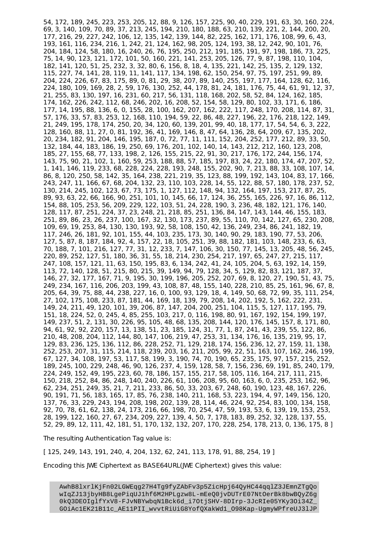54, 172, 189, 245, 223, 253, 205, 12, 88, 9, 126, 157, 225, 90, 40, 229, 191, 63, 30, 160, 224, 69, 3, 140, 109, 70, 89, 37, 213, 245, 194, 210, 180, 188, 63, 210, 139, 221, 2, 144, 200, 20, 177, 216, 29, 227, 242, 106, 12, 135, 142, 139, 144, 82, 225, 162, 171, 176, 108, 99, 6, 43, 193, 161, 116, 234, 216, 1, 242, 21, 124, 162, 98, 205, 124, 193, 38, 12, 242, 90, 101, 76, 204, 184, 124, 58, 180, 16, 240, 26, 76, 195, 250, 212, 191, 185, 191, 97, 198, 186, 73, 225, 75, 14, 90, 123, 121, 172, 101, 50, 160, 221, 141, 253, 205, 126, 77, 9, 87, 198, 110, 104, 182, 141, 120, 51, 25, 232, 3, 32, 80, 6, 156, 8, 18, 4, 135, 221, 142, 25, 135, 2, 129, 132, 115, 227, 74, 141, 28, 119, 11, 141, 117, 134, 198, 62, 150, 254, 97, 75, 197, 251, 99, 89, 204, 224, 226, 67, 83, 175, 89, 0, 81, 29, 38, 207, 89, 140, 255, 197, 177, 164, 128, 62, 116, 224, 180, 109, 169, 28, 2, 59, 176, 130, 252, 44, 178, 81, 24, 181, 176, 75, 44, 61, 91, 12, 37, 21, 255, 83, 130, 197, 16, 231, 60, 217, 56, 131, 118, 168, 202, 58, 52, 84, 124, 162, 185, 174, 162, 226, 242, 112, 68, 246, 202, 16, 208, 52, 154, 58, 129, 80, 102, 33, 171, 6, 186, 177, 14, 195, 88, 136, 6, 0, 155, 28, 100, 162, 207, 162, 222, 117, 248, 170, 208, 114, 87, 31, 57, 176, 33, 57, 83, 253, 12, 168, 110, 194, 59, 22, 86, 48, 227, 196, 22, 176, 218, 122, 149, 21, 249, 195, 178, 174, 250, 20, 34, 120, 60, 139, 201, 99, 40, 18, 177, 17, 54, 54, 6, 3, 222, 128, 160, 88, 11, 27, 0, 81, 192, 36, 41, 169, 146, 8, 47, 64, 136, 28, 64, 209, 67, 135, 202, 20, 234, 182, 91, 204, 146, 195, 187, 0, 72, 77, 11, 111, 152, 204, 252, 177, 212, 89, 33, 50, 132, 184, 44, 183, 186, 19, 250, 69, 176, 201, 102, 140, 14, 143, 212, 212, 160, 123, 208, 185, 27, 155, 68, 77, 133, 198, 2, 126, 155, 215, 22, 91, 30, 217, 176, 172, 244, 156, 174, 143, 75, 90, 21, 102, 1, 160, 59, 253, 188, 88, 57, 185, 197, 83, 24, 22, 180, 174, 47, 207, 52, 1, 141, 146, 119, 233, 68, 228, 224, 228, 193, 248, 155, 202, 90, 7, 213, 88, 33, 108, 107, 14, 86, 8, 120, 250, 58, 142, 35, 164, 238, 221, 219, 35, 123, 88, 199, 192, 143, 104, 83, 17, 166, 243, 247, 11, 166, 67, 68, 204, 132, 23, 110, 103, 228, 14, 55, 122, 88, 57, 180, 178, 237, 52, 130, 214, 245, 102, 123, 67, 73, 175, 1, 127, 112, 148, 94, 132, 164, 197, 153, 217, 87, 25, 89, 93, 63, 22, 66, 166, 90, 251, 101, 10, 145, 66, 17, 124, 36, 255, 165, 226, 97, 16, 86, 112, 154, 88, 105, 253, 56, 209, 229, 122, 103, 51, 24, 228, 190, 3, 236, 48, 182, 121, 176, 140, 128, 117, 87, 251, 224, 37, 23, 248, 21, 218, 85, 251, 136, 84, 147, 143, 144, 46, 155, 183, 251, 89, 86, 23, 26, 237, 100, 167, 32, 130, 173, 237, 89, 55, 110, 70, 142, 127, 65, 230, 208, 109, 69, 19, 253, 84, 130, 130, 193, 92, 58, 108, 150, 42, 136, 249, 234, 86, 241, 182, 19, 117, 246, 26, 181, 92, 101, 155, 44, 103, 235, 173, 30, 140, 90, 29, 183, 190, 77, 53, 206, 127, 5, 87, 8, 187, 184, 92, 4, 157, 22, 18, 105, 251, 39, 88, 182, 181, 103, 148, 233, 6, 63, 70, 188, 7, 101, 216, 127, 77, 31, 12, 233, 7, 147, 106, 30, 150, 77, 145, 13, 205, 48, 56, 245, 220, 89, 252, 127, 51, 180, 36, 31, 55, 18, 214, 230, 254, 217, 197, 65, 247, 27, 215, 117, 247, 108, 157, 121, 11, 63, 150, 195, 83, 6, 134, 242, 41, 24, 105, 204, 5, 63, 192, 14, 159, 113, 72, 140, 128, 51, 215, 80, 215, 39, 149, 94, 79, 128, 34, 5, 129, 82, 83, 121, 187, 37, 146, 27, 32, 177, 167, 71, 9, 195, 30, 199, 196, 205, 252, 207, 69, 8, 120, 27, 190, 51, 43, 75, 249, 234, 167, 116, 206, 203, 199, 43, 108, 87, 48, 155, 140, 228, 210, 85, 25, 161, 96, 67, 8, 205, 64, 39, 75, 88, 44, 238, 227, 16, 0, 100, 93, 129, 18, 4, 149, 50, 68, 72, 99, 35, 111, 254, 27, 102, 175, 108, 233, 87, 181, 44, 169, 18, 139, 79, 208, 14, 202, 192, 5, 162, 222, 231, 149, 24, 211, 49, 120, 101, 39, 206, 87, 147, 204, 200, 251, 104, 115, 5, 127, 117, 195, 79, 151, 18, 224, 52, 0, 245, 4, 85, 255, 103, 217, 0, 116, 198, 80, 91, 167, 192, 154, 199, 197, 149, 237, 51, 2, 131, 30, 226, 95, 105, 48, 68, 135, 208, 144, 120, 176, 145, 157, 8, 171, 80, 94, 61, 92, 92, 220, 157, 13, 138, 51, 23, 185, 124, 31, 77, 1, 87, 241, 43, 239, 55, 122, 86, 210, 48, 208, 204, 112, 144, 80, 147, 106, 219, 47, 253, 31, 134, 176, 16, 135, 219, 95, 17, 129, 83, 236, 125, 136, 112, 86, 228, 252, 71, 129, 218, 174, 156, 236, 12, 27, 159, 11, 138, 252, 253, 207, 31, 115, 214, 118, 239, 203, 16, 211, 205, 99, 22, 51, 163, 107, 162, 246, 199, 67, 127, 34, 108, 197, 53, 117, 58, 199, 3, 190, 74, 70, 190, 65, 235, 175, 97, 157, 215, 252, 189, 245, 100, 229, 248, 46, 90, 126, 237, 4, 159, 128, 58, 7, 156, 236, 69, 191, 85, 240, 179, 224, 249, 152, 49, 195, 223, 60, 78, 186, 157, 155, 217, 58, 105, 116, 164, 217, 111, 215, 150, 218, 252, 84, 86, 248, 140, 240, 226, 61, 106, 208, 95, 60, 163, 6, 0, 235, 253, 162, 96, 62, 234, 251, 249, 35, 21, 7, 211, 233, 86, 50, 33, 203, 67, 248, 60, 190, 123, 48, 167, 226, 90, 191, 71, 56, 183, 165, 17, 85, 76, 238, 140, 211, 168, 53, 223, 194, 4, 97, 149, 156, 120, 137, 76, 33, 229, 243, 194, 208, 198, 202, 139, 28, 114, 46, 224, 92, 254, 83, 100, 134, 158, 92, 70, 78, 61, 62, 138, 24, 173, 216, 66, 198, 70, 254, 47, 59, 193, 53, 6, 139, 19, 153, 253, 28, 199, 122, 160, 27, 67, 234, 209, 227, 139, 4, 50, 7, 178, 183, 89, 252, 32, 128, 137, 55, 52, 29, 89, 12, 111, 42, 181, 51, 170, 132, 132, 207, 170, 228, 254, 178, 213, 0, 136, 175, 8 ]

150, 209, 94, 171, 26, 13, 142, 212, 129, 1, 176, 5, 0, 112, 203, 174, 185, 119, 76, 233, 189,

The resulting Authentication Tag value is:

[ 125, 249, 143, 191, 240, 4, 204, 132, 62, 241, 113, 178, 91, 88, 254, 19 ]

Encoding this JWE Ciphertext as BASE64URL(JWE Ciphertext) gives this value: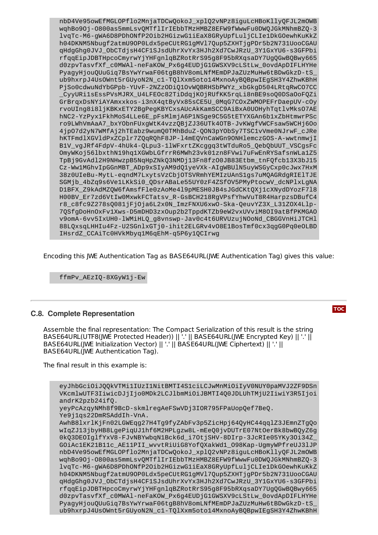nbD4Ve95owEfMGLOPflo2MnjaTDCwQokoJ\_xplQ2vNPz8iguLcHBoKllyQFJL2mOWB wqhBo9Oj-O800as5mmLsvQMTflIrIEbbTMzHMBZ8EFW9fWwwFu0DWQJGkMNhmBZQ-3 lvqTc-M6-gWA6D8PDhONfP2Oib2HGizwG1iEaX8GRyUpfLuljCLIe1DkGOewhKuKkZ h04DKNM5Nbugf2atmU9OP0Ldx5peCUtRG1gMVl7Qup5ZXHTjgPDr5b2N731UooCGAU qHdgGhg0JVJ\_ObCTdjsH4CF1SJsdUhrXvYx3HJh2Xd7CwJRzU\_3Y1GxYU6-s3GFPbi rfqqEipJDBTHpcoCmyrwYjYHFgnlqBZRotRrS95g8F95bRXqsaDY7UgQGwBQBwy665 d0zpvTasvfXf\_c0MWAl-neFaKOW\_Px6g4EUDjG1GWSXV9cLStLw\_0ovdApDIFLHYHe PyagyHjouQUuGiq7BsYwYrwaF06tgB8hV8omLNfMEmDPJaZUzMuHw6tBDwGkzD-tS\_ ub9hxrpJ4UsOWnt5rGUyoN2N\_c1-TQlXxm5oto14MxnoAyBQBpwIEgSH3Y4ZhwKBhH PjSo0cdwuNdYbGPpb-YUvF-2NZzODiQ1OvWQBRHSbPWYz\_xbGkgD504LRtqRwCO7CC \_CyyURi1sEssPVsMJRX\_U4LFEOc82TiDdqjKOjRUfKK5rqLi8nBE9soQ0DSaOoFQZi GrBrqxDsNYiAYAmxxkos-i3nX4qtByVx85sCE5U\_0MqG7COxZWMOPEFrDaepUV-cOy rvoUIng8i8ljKBKxETY2BgPegKBYCxsAUcAkKamSCC9AiBxA0UOHyhTqtlvMksO7AE hNC2-YzPyx1FkhMoS4LLe6E\_pFsMlmjA6P1NSge9C5G5tETYXGAn6b1xZbHtmwrPSc ro9LWhVmAaA7\_bxYObnFUxgWtK4vzzQBjZJ36UTk4OTB-JvKWgfVWCFsaw5WCHj6Oo 4jpO7d2yN7WMfAj2hTEabz9wumQ0TMhBduZ-QON3pYObSy7TSC1vVme0NJrwF\_cJRe hKTFmdlXGVldPxZCplr7ZQqRQhF8JP-l4mEQVnCaWGn9ONHlemczGOS-A-wwtnmwjI B1V\_vgJRf4FdpV-4hUk4-QLpu3-1lWFxrtZKcggq3tWTduRo5\_QebQbUUT\_VSCgsFc OmyWKoj56lbxthN19hq1XGWbLGfrrR6MWh23vk01zn8FVwi7uFwEnRYSafsnWLa1Z5 TpBj9GvAdl2H9NHwzpB5NqHpZNkQ3NMDj13Fn8fzO0JB83Etbm\_tnFQfcb13X3bJ15 Cz-Ww1MGhvIpGGnMBT\_ADp9xSIyAM9dQ1yeVXk-AIgWBUlN5uyWSGyCxp0cJwx7HxM 38z0UIeBu-MytL-eqndM7LxytsVzCbjOTSVRmhYEMIzUAnS1gs7uMQAGRdgRIElTJE SGMjb\_4bZq9s6Ve1LKkSi0\_QDsrABaLe55UY0zF4ZSfOV5PMyPtocwV\_dcNPlxLgNA D1BFX\_Z9kAdMZQW6fAmsfFle0zAoMe4l9pMESH0JB4sJGdCKtQXj1cXNydDYozF7l8 H00BV\_Er7zd6VtIw0MxwkFCTatsv\_R-GsBCH218RgVPsfYhwVuT8R4HarpzsDBufC4 r8\_c8fc9Z278sQ081jFjOja6L2x0N\_ImzFNXU6xwO-Ska-QeuvYZ3X\_L31ZOX4Llp-7QSfgDoHnOxFv1Xws-D5mDHD3zxOup2b2TppdKTZb9eW2vxUVviM8OI9atBfPKMGAO v9omA-6vv5IxUH0-lWMiHLQ\_g8vnswp-Jav0c4t6URVUzujNOoNd\_CBGGVnHiJTCHl 88LQxsqLHHIu4Fz-U2SGnlxGTj0-ihit2ELGRv4vO8E1BosTmf0cx3qgG0Pq0eOLBD IHsrdZ\_CCAiTc0HVkMbyq1M6qEhM-q5P6y1QCIrwg

Encoding this JWE Authentication Tag as BASE64URL(JWE Authentication Tag) gives this value:

ffmPv\_AEzIQ-8XGyW1j-Ew

#### <span id="page-20-0"></span>**C.8. Complete Representation**

Assemble the final representation: The Compact Serialization of this result is the string BASE64URL(UTF8(JWE Protected Header)) || '.' || BASE64URL(JWE Encrypted Key) || '.' || BASE64URL(JWE Initialization Vector) || '.' || BASE64URL(JWE Ciphertext) || '.' || BASE64URL(JWE Authentication Tag).

The final result in this example is:

eyJhbGciOiJQQkVTMi1IUzI1NitBMTI4S1ciLCJwMnMiOiIyV0NUY0paMVJ2ZF9DSn VKcmlwUTF3IiwicDJjIjo0MDk2LCJlbmMiOiJBMTI4Q0JDLUhTMjU2IiwiY3R5Ijoi andrK2pzb24ifQ. yeyPcAzqyNMh8f9BcD-skmlregAeFSwVDj3IOR795FPaUopQef7BeQ. Ye9j1qs22DmRSAddIh-VnA. AwhB8lxrlKjFn02LGWEqg27H4Tg9fyZAbFv3p5ZicHpj64QyHC44qqlZ3JEmnZTgQo wIqZJ13jbyHB8LgePiqUJ1hf6M2HPLgzw8L-mEeQ0jvDUTrE07NtOerBk8bwBQyZ6g 0kQ3DEOIglfYxV8-FJvNBYwbqN1Bck6d\_i7OtjSHV-8DIrp-3JcRIe05YKy3Oi34Z\_ GOiAc1EK21B11c\_AE11PII\_wvvtRiUiG8YofQXakWd1\_O98Kap-UgmyWPfreUJ3lJP nbD4Ve95owEfMGLOPflo2MnjaTDCwQokoJ\_xplQ2vNPz8iguLcHBoKllyQFJL2mOWB wqhBo9Oj-O800as5mmLsvQMTflIrIEbbTMzHMBZ8EFW9fWwwFu0DWQJGkMNhmBZQ-3 lvqTc-M6-gWA6D8PDhONfP2Oib2HGizwG1iEaX8GRyUpfLuljCLIe1DkGOewhKuKkZ h04DKNM5Nbugf2atmU9OP0Ldx5peCUtRG1gMVl7Qup5ZXHTjgPDr5b2N731UooCGAU qHdgGhg0JVJ\_ObCTdjsH4CF1SJsdUhrXvYx3HJh2Xd7CwJRzU\_3Y1GxYU6-s3GFPbi rfqqEipJDBTHpcoCmyrwYjYHFgnlqBZRotRrS95g8F95bRXqsaDY7UgQGwBQBwy665 d0zpvTasvfXf\_c0MWAl-neFaKOW\_Px6g4EUDjG1GWSXV9cLStLw\_0ovdApDIFLHYHe PyagyHjouQUuGiq7BsYwYrwaF06tgB8hV8omLNfMEmDPJaZUzMuHw6tBDwGkzD-tS\_ ub9hxrpJ4UsOWnt5rGUyoN2N\_c1-TQlXxm5oto14MxnoAyBQBpwIEgSH3Y4ZhwKBhH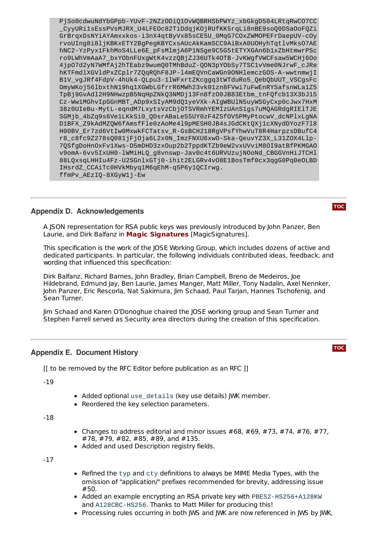PjSo0cdwuNdYbGPpb-YUvF-2NZzODiQ1OvWQBRHSbPWYz\_xbGkgD504LRtqRwCO7CC \_CyyURi1sEssPVsMJRX\_U4LFEOc82TiDdqjKOjRUfKK5rqLi8nBE9soQ0DSaOoFQZi GrBrqxDsNYiAYAmxxkos-i3nX4qtByVx85sCE5U\_0MqG7COxZWMOPEFrDaepUV-cOy rvoUIng8i8ljKBKxETY2BgPegKBYCxsAUcAkKamSCC9AiBxA0UOHyhTqtlvMksO7AE hNC2-YzPyx1FkhMoS4LLe6E\_pFsMlmjA6P1NSge9C5G5tETYXGAn6b1xZbHtmwrPSc ro9LWhVmAaA7\_bxYObnFUxgWtK4vzzQBjZJ36UTk4OTB-JvKWgfVWCFsaw5WCHj6Oo 4jpO7d2yN7WMfAj2hTEabz9wumQ0TMhBduZ-QON3pYObSy7TSC1vVme0NJrwF\_cJRe hKTFmdlXGVldPxZCplr7ZQqRQhF8JP-l4mEQVnCaWGn9ONHlemczGOS-A-wwtnmwjI B1V\_vgJRf4FdpV-4hUk4-QLpu3-1lWFxrtZKcggq3tWTduRo5\_QebQbUUT\_VSCgsFc OmyWKoj56lbxthN19hq1XGWbLGfrrR6MWh23vk01zn8FVwi7uFwEnRYSafsnWLa1Z5 TpBj9GvAdl2H9NHwzpB5NqHpZNkQ3NMDj13Fn8fzO0JB83Etbm\_tnFQfcb13X3bJ15 Cz-Ww1MGhvIpGGnMBT\_ADp9xSIyAM9dQ1yeVXk-AIgWBUlN5uyWSGyCxp0cJwx7HxM 38z0UIeBu-MytL-eqndM7LxytsVzCbjOTSVRmhYEMIzUAnS1gs7uMQAGRdgRIElTJE SGMjb\_4bZq9s6Ve1LKkSi0\_QDsrABaLe55UY0zF4ZSfOV5PMyPtocwV\_dcNPlxLgNA D1BFX\_Z9kAdMZQW6fAmsfFle0zAoMe4l9pMESH0JB4sJGdCKtQXj1cXNydDYozF7l8 H00BV\_Er7zd6VtIw0MxwkFCTatsv\_R-GsBCH218RgVPsfYhwVuT8R4HarpzsDBufC4 r8\_c8fc9Z278sQ081jFjOja6L2x0N\_ImzFNXU6xwO-Ska-QeuvYZ3X\_L31ZOX4Llp-7QSfgDoHnOxFv1Xws-D5mDHD3zxOup2b2TppdKTZb9eW2vxUVviM8OI9atBfPKMGAO v9omA-6vv5IxUH0-lWMiHLQ\_g8vnswp-Jav0c4t6URVUzujNOoNd\_CBGGVnHiJTCHl 88LQxsqLHHIu4Fz-U2SGnlxGTj0-ihit2ELGRv4vO8E1BosTmf0cx3qgG0Pq0eOLBD IHsrdZ\_CCAiTc0HVkMbyq1M6qEhM-q5P6y1QCIrwg. ffmPv\_AEzIQ-8XGyW1j-Ew

# <span id="page-21-0"></span>**Appendix D. Acknowledgements**

A JSON representation for RSA public keys was previously introduced by John Panzer, Ben Laurie, and Dirk Balfanz in **Magic [Signatures](#page-12-26)** [MagicSignatures].

This specification is the work of the JOSE Working Group, which includes dozens of active and dedicated participants. In particular, the following individuals contributed ideas, feedback, and wording that influenced this specification:

Dirk Balfanz, Richard Barnes, John Bradley, Brian Campbell, Breno de Medeiros, Joe Hildebrand, Edmund Jay, Ben Laurie, James Manger, Matt Miller, Tony Nadalin, Axel Nennker, John Panzer, Eric Rescorla, Nat Sakimura, Jim Schaad, Paul Tarjan, Hannes Tschofenig, and Sean Turner.

Jim Schaad and Karen O'Donoghue chaired the JOSE working group and Sean Turner and Stephen Farrell served as Security area directors during the creation of this specification.

#### <span id="page-21-1"></span>**Appendix E. Document History**

[[ to be removed by the RFC Editor before publication as an RFC ]]

-19

- Added optional use\_details (key use details) JWK member.
- Reordered the key selection parameters.

-18

- Changes to address editorial and minor issues  $\#68, \#69, \#73, \#74, \#76, \#77$ . #78, #79, #82, #85, #89, and #135.
- Added and used Description registry fields.

-17

- **•** Refined the typ and cty definitions to always be MIME Media Types, with the omission of "application/" prefixes recommended for brevity, addressing issue #50.
- Added an example encrypting an RSA private key with PBES2-HS256+A128KW and A128CBC-HS256. Thanks to Matt Miller for producing this!
- Processing rules occurring in both JWS and JWK are now referenced in JWS by JWK,

**[TOC](#page-0-0)**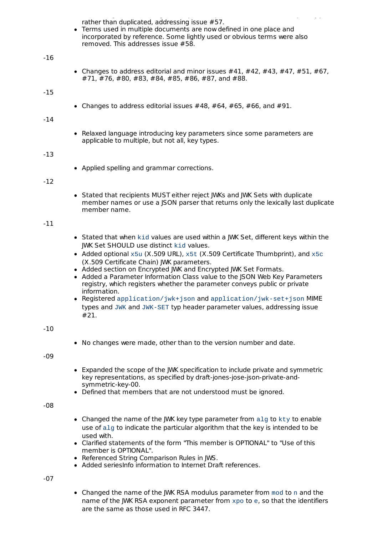Processing rules occurring in both JWS and JWK are now referenced in JWS by JWK, rather than duplicated, addressing issue #57.

• Terms used in multiple documents are now defined in one place and incorporated by reference. Some lightly used or obvious terms were also removed. This addresses issue #58.

#### -16

• Changes to address editorial and minor issues  $\#41$ ,  $\#42$ ,  $\#43$ ,  $\#47$ ,  $\#51$ ,  $\#67$ , #71, #76, #80, #83, #84, #85, #86, #87, and #88.

#### -15

• Changes to address editorial issues  $\#48$ ,  $\#64$ ,  $\#65$ ,  $\#66$ , and  $\#91$ .

#### -14

• Relaxed language introducing key parameters since some parameters are applicable to multiple, but not all, key types.

#### -13

Applied spelling and grammar corrections.

#### -12

• Stated that recipients MUST either reject JWKs and JWK Sets with duplicate member names or use a JSON parser that returns only the lexically last duplicate member name.

#### -11

- Stated that when kid values are used within a JWK Set, different keys within the JWK Set SHOULD use distinct kid values.
- Added optional  $x5u$  (X.509 URL),  $x5t$  (X.509 Certificate Thumbprint), and  $x5c$ (X.509 Certificate Chain) JWK parameters.
- Added section on Encrypted JWK and Encrypted JWK Set Formats.
- Added a Parameter Information Class value to the ISON Web Key Parameters registry, which registers whether the parameter conveys public or private information.
- Registered application/jwk+json and application/jwk-set+json MIME types and JWK and JWK-SET typ header parameter values, addressing issue #21.

#### $-10$

No changes were made, other than to the version number and date.

-09

- Expanded the scope of the JWK specification to include private and symmetric key representations, as specified by draft-jones-jose-json-private-andsymmetric-key-00.
- Defined that members that are not understood must be ignored.

-08

- Changed the name of the JWK key type parameter from alg to kty to enable use of alg to indicate the particular algorithm that the key is intended to be used with.
- Clarified statements of the form "This member is OPTIONAL" to "Use of this member is OPTIONAL".
- Referenced String Comparison Rules in JWS.
- Added seriesInfo information to Internet Draft references.

-07

Changed the name of the JWK RSA modulus parameter from mod to n and the name of the JWK RSA exponent parameter from xpo to e, so that the identifiers are the same as those used in RFC 3447.